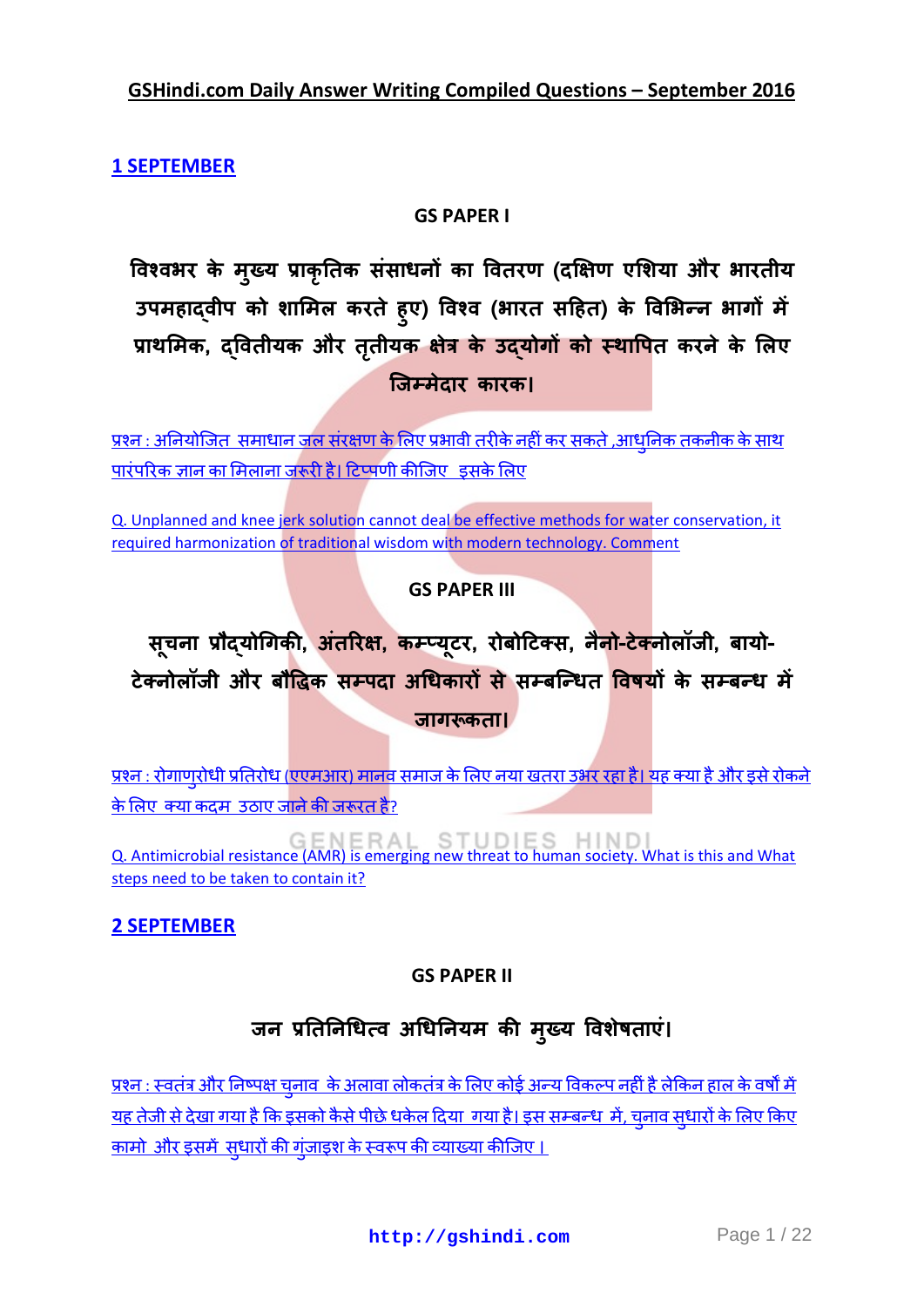**GSHindi.com Daily Answer Writing Compiled Questions – September 2016**

**[1 SEPTEMBER](http://gshindi.com/category/mains-answer-writing/1-september-mains-answer-writing)**

## **GS PAPER I**

विश्वभर के मुख्य प्राकृतिक ससाधनों का वितरण (दक्षिण एशिया और उपमहाद्वीप को शामिल करते हुए) विश्व (भारत सहित) प्राथमिक, द्वितीयक और तृती **जिम्मेदार कारक।** 

प्रश्न : अनियोजित समाधान जल संरक्षण के लिए प्रभावी तरीके नहीं कर सकते ,आधनिक तकनीक के साथ पारंपरिक ज्ञान का मिलाना जरूरी है। टिप्पणी कीजिए डसके लिए

[Q. Unplanned and knee jerk solution cannot deal be effective methods for water conservation, it](http://gshindi.com/category/gs-paper-1/unplanned-water-conservation)  [required harmonization of traditional wisdom with modern technology. Comment](http://gshindi.com/category/gs-paper-1/unplanned-water-conservation)

## **GS PAPER III**

सूचना प्रौद्**योगिकी, अतरिक्ष, कम्प्यूटर, रोबोटिक्स, नैनो-टेक्**नोलांजी, बायो-टेक्नोलॉजी और बौद्धिक सम्पदा अधिकारों से सम्बन्धित विषयों के सम्बन्ध में 

<u>प्रश्न : रोगाणरोधी प्रतिरोध (एएमआर) मानव समाज के लिए नया खतरा उभर रहा है। यह क्या है और इसे रोकने</u> <u>के लिए क्या कदम उठाए जाने की जरूरत है?</u>

[Q. Antimicrobial resistance \(AMR\) is emerging new threat to human society. What is this and What](http://gshindi.com/category/gs-paper-3/amr-emerging-as-new-danger)  [steps need to be taken to contain it?](http://gshindi.com/category/gs-paper-3/amr-emerging-as-new-danger)

## **[2 SEPTEMBER](http://gshindi.com/category/mains-answer-writing/2-september-mains-answer-writing)**

## **GS PAPER II**

## जन प्रतिनिधित्व अधिनियम की मुख

<u>प्रश्न : स्वतंत्र और निष्पक्ष चनाव के अलावा लोकतंत्र के लिए कोई अन्य विकल्प नहीं है लेकिन हाल के वर्षों में</u> यह तेजी से देखा गया है कि इसको कैसे पीछे धकेल दिया गया है। इस सम्बन्ध में, चनाव सधारों के लिए किए <u>कामो और इसमें सधारों की गुंजाइश के स्वरूप की व्याख्या कीजिए ।</u>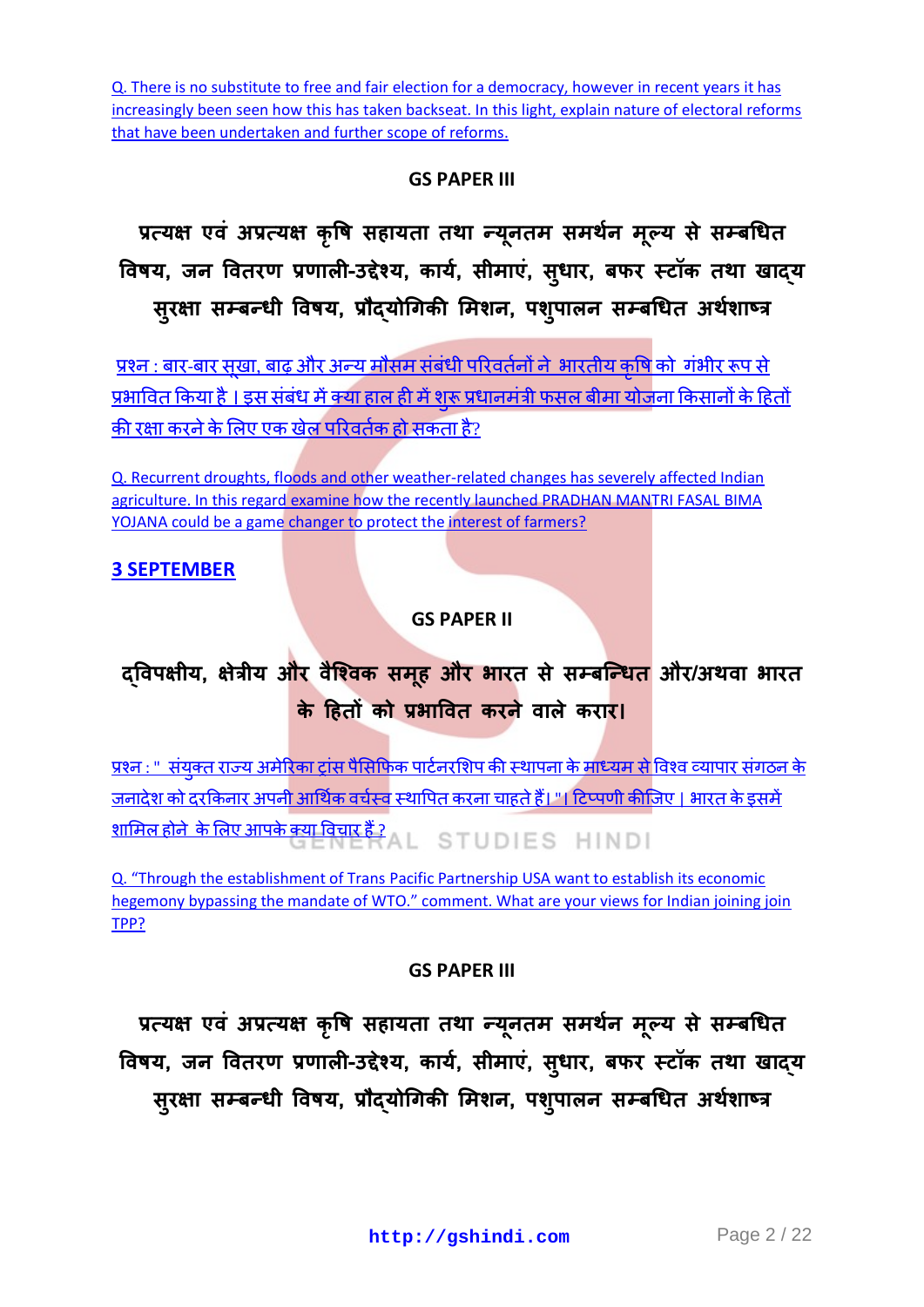[Q. There is no substitute to free and fair election for a democracy, however in recent years it has](http://gshindi.com/category/gs-paper-2/free-and-fair-elections-in-democracy)  [increasingly been seen how this has taken backseat. In this light, explain nature of electoral reforms](http://gshindi.com/category/gs-paper-2/free-and-fair-elections-in-democracy)  [that have been undertaken and further scope of reforms.](http://gshindi.com/category/gs-paper-2/free-and-fair-elections-in-democracy)

## **GS PAPER III**

प्रत्यक्ष एव अप्रत्यक्ष कृषि सहायता तथा न्यूनतम समथेन मूल विषय, जन वितरण प्रणाली-उद्देश्य, कार्य, सीमाए, सुधार, बफर सुरक्षा सम्बन्धी विषय, प्रौद्**योगिकी मिशन, पशु**प

<u>प्रश्न : बार-बार सखा, बाढ़ और अन्य मौसम संबंधी परिवर्तनों ने भारतीय कृषि को गंभीर रूप से</u> <u>प्रभावित किया है । इस संबंध में क्या हाल ही में शरू प्रधानमंत्री फसल बीमा योजना किसानों के हितों</u> की रक्षा करने के लिए एक खेल परिवर्तक हो सकता है?

[Q. Recurrent droughts, floods and other weather-related changes has severely affected Indian](http://gshindi.com/category/gs-paper-3/pmfby-could-be-game-changer)  [agriculture. In this regard examine how the recently launched PRADHAN MANTRI FASAL](http://gshindi.com/category/gs-paper-3/pmfby-could-be-game-changer) BIMA [YOJANA could be a game changer to protect the interest of farmers?](http://gshindi.com/category/gs-paper-3/pmfby-could-be-game-changer)

## **[3 SEPTEMBER](http://gshindi.com/category/mains-answer-writing/3-september-mains-answer-writing)**

## **GS PAPER II**

## द्विपक्षीय, क्षेत्रीय और वैश्विक समूह और भारत से सम्बन्धित और/अ **के हितों को प्रभावित करने वाले करार।**

<u>प्रश्न : " संयुक्त राज्य अमेरिका ट्रांस पैसिफिक पार्टनरशिप की स्थापना के माध्यम से विश्व व्यापार संगठन के </u> जनादेश को दरकिनार अपनी आर्थिक वर्चस्व स्थापित करना चाहते हैं। "। टिप्पणी कीजिए । भारत के इसमें —<br><u>शामिल होने के लिए आपके क्या विचार हैं ?</u><br>AL STUDIES HINDI

Q. "Through the establishment of Trans [Pacific Partnership USA want to establish its economic](http://gshindi.com/category/gs-paper-2/trans-pacific-partnership-with-usa)  hegemony bypassing the mandate of WTO." comment. What are your views for Indian joining join [TPP?](http://gshindi.com/category/gs-paper-2/trans-pacific-partnership-with-usa)

## **GS PAPER III**

प्रत्यक्ष एव अप्रत्यक्ष कृषि सहायता तथा न्यूनतम समर्थन मूल विषय, जन वितरण प्रणाली-उद्देश्य, कार्य, सीमाए, सुधार, बफर सुरक्षा सम्बन्धी विषय, प्रौद्**योगिकी मिशन, पशु**प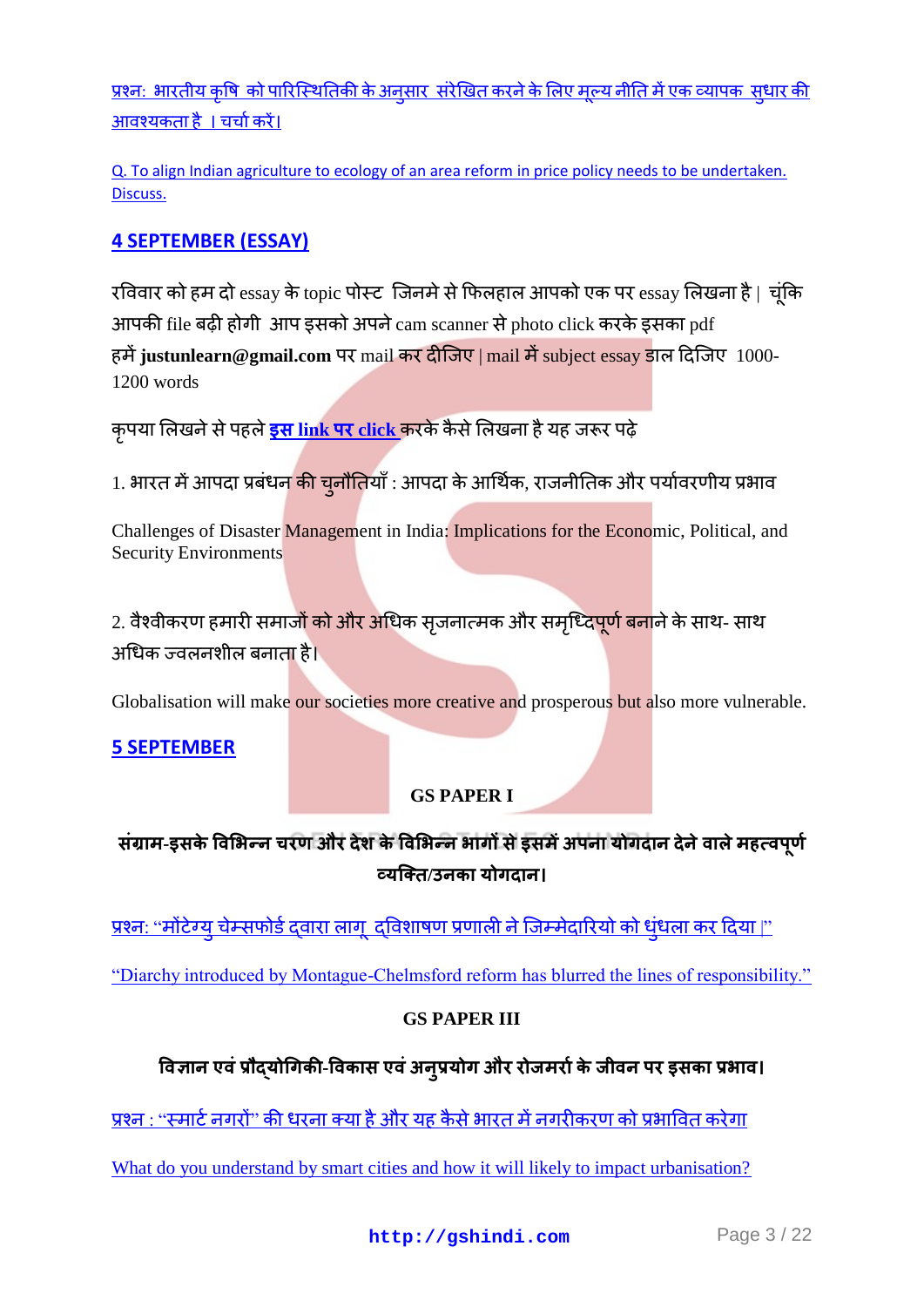<u>प्रश्नः भारतीय कृषि को पारिस्थितिकी के अनुसार संरेखित करने के लिए मूल्य नीति में एक व्यापक सुधार की</u> आवश्यकताहै । चर्चा करें।

[Q. To align Indian agriculture to ecology of an area reform in price policy needs to be undertaken.](http://gshindi.com/category/gs-paper-3/price-policy-reform-in-agriculture)  [Discuss.](http://gshindi.com/category/gs-paper-3/price-policy-reform-in-agriculture)

## **[4 SEPTEMBER \(ESSAY\)](http://gshindi.com/category/essay/essay-writing-4-september)**

रविवार को हम दो essay के topic पोस्ट जिनमे से फिलहाल आपको एक पर essay लिखना है | चूंकि आपकी file बढ़ी होगी आप इसको अपने cam scanner से photo click करके इसका pdf हमें justunlearn@gmail.com पर mail कर दीजिए | mail में subject essay डाल दिजिए 1000-1200 words

कृपया लिखने से पहले <mark>इस link पर click कर</mark>के कैसे लिखना है यह जरूर पढ़े

1. भारत में आपदा प्रबंधन <mark>की चुनौति</mark>याँ : आपदा के आर्थिक, राजनीतिक और पर्यावरणीय प्रभाव

Challenges of Disaster Management in India: Implications for the Economic, Political, and Security Environments

2. वैश्वीकरण हमारी समाजों को और अधिक सृजनात्मक और समृध्<mark>दिपूर्ण बना</mark>ने के साथ- साथ अधिक ज्वलनशील बनाता है।

Globalisation will make our societies more creative and prosperous but also more vulnerable.

## **[5 SEPTEMBER](http://gshindi.com/node/1061)**

## **GS PAPER I**

## संग्राम-इसके विभिन्न चरण और देश के विभिन्न भागों से इसमें अपना योगदान देने वाले महत्वपूर्ण  **/**

<u>प्रश्न: "मोंटेग्य चेम्सफोर्ड दवारा लाग, दविशाषण प्रणाली ने जिम्मेदारियों को धंधला कर दिया।"</u>

["Diarchy introduced by Montague-Chelmsford reform has blurred the lines of responsibility."](http://gshindi.com/category/gs-paper-1/montagu-chelmsford-reform)

## **GS PAPER III**

## <u>विज्ञान एवं प्रौद्**योगिकी-विकास एवं अन्**प्रयोग और रोजमर्रा के जीवन पर इसका प्रभाव।</u>

प्रश्न : ''स्मार्ट नगरों'' की धरना क्या है और यह कैसे भारत में नगरीकरण को प्रभावित करेगा

[What do you understand by smart cities and how it will likely to impact urbanisation?](http://gshindi.com/category/gs-paper-3/analysis-of-smart-city-and-urbanisation)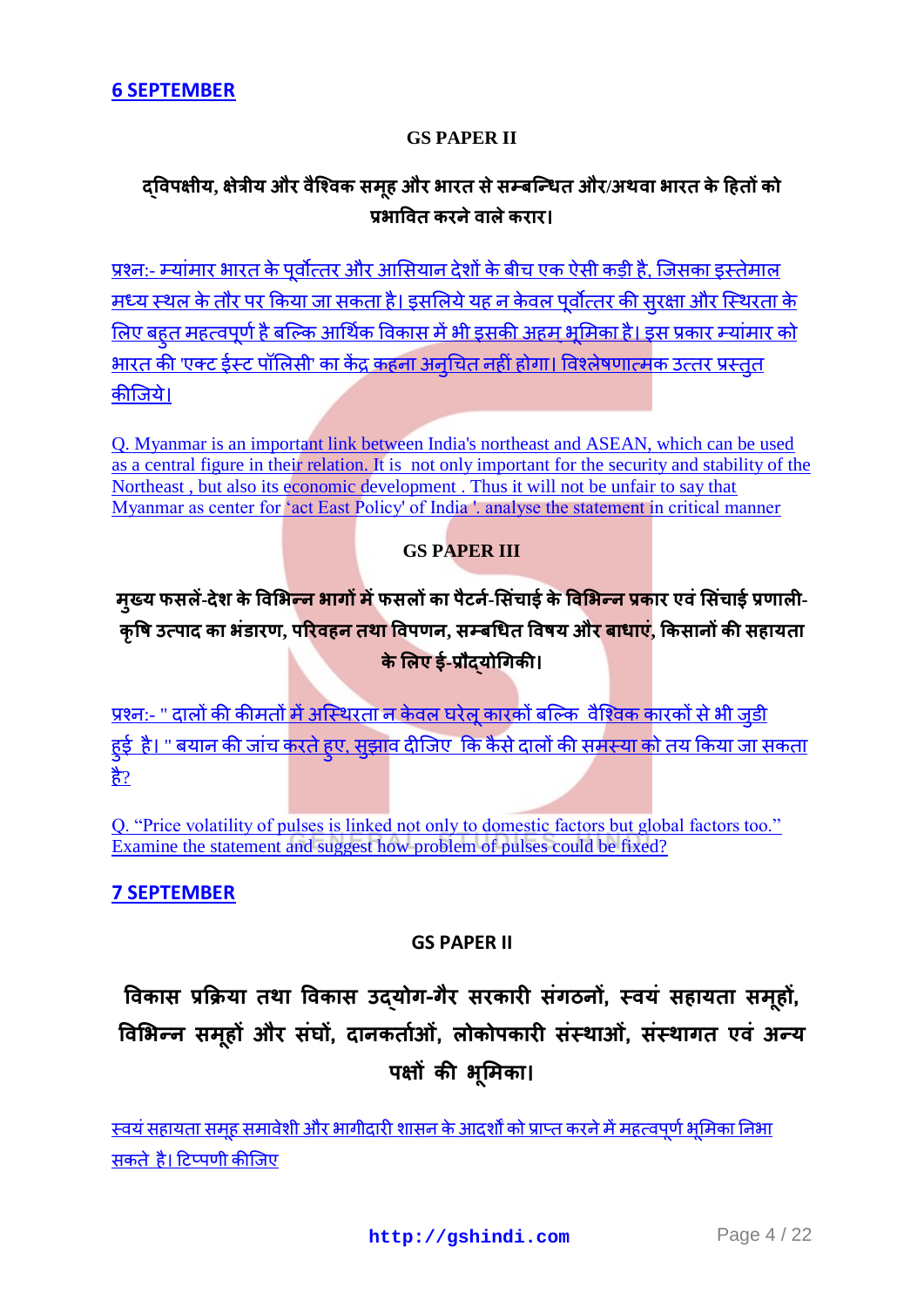### **GS PAPER II**

## दविपक्षीय, क्षेत्रीय और वैश्विक समूह और भारत से सम्बन्धित और/अथवा भारत के हितों को पश्चातित करने ताले करार।

प्रश्न:- म्यांमार भारत के पर्वोत्तर और आसियान देशों के बीच एक ऐसी कड़ी है. जिसका इस्तेमाल <u>मध्य स्थल के तौर पर किया जा सकता है। इसलिये यह न केवल पर्वोत्तर की सरक्षा और स्थिरता के </u> लिए बहुत महत्वपूर्ण है बल्कि आर्थिक विकास में भी इसकी अहम भूमिका है। इस प्रकार म्यांमार को <u>भारत की 'एक्ट ईस्ट पॉलिसी' का केंद्र कहना अनचित नहीं होगा। विश्लेषणात्मक उत्तर प्रस्तत</u> कीजिये।

[Q. Myanmar is an important link between India's northeast and ASEAN, which can be used](http://gshindi.com/category/gs-paper-2/myanmar-india-and-asean)  [as a central figure in their relation. It is not only important for the security and stability of the](http://gshindi.com/category/gs-paper-2/myanmar-india-and-asean)  [Northeast , but also its economic development . Thus it will not be unfair to say that](http://gshindi.com/category/gs-paper-2/myanmar-india-and-asean)  [Myanmar as center for "act East Policy' of India '. analyse the statement in critical manner](http://gshindi.com/category/gs-paper-2/myanmar-india-and-asean)

## **GS PAPER III**

## म्ख्य फसलें-देश के विभि<mark>ल्न भागों में</mark> फसलों का पैटर्न-सिंचाई के विभिल्न प्रकार एवं सिंचाई प्रणाली-कृषि उत्पाद का भंडारण, परिवहन तथा विपणन, सम्बधित विषय और बाधाएं, किसानों की सहायता **के लिए ई-प्रौदयोगिकी।**

प्रश्न:- " दालों की कीमतों में अस्थिरता न केवल घरेल कारकों बल्कि वैश्विक कारकों से भी जड़ी <u>हई है। " बयान की जांच करते हए. सझाव दीजिए कि कैसे दालों की समस्या को तय किया जा सकता</u> ੜ੍ਹੇ $\frac{1}{6}$ ?

[Q. "Price volatility of pulses is linked not only to domestic factors but global factors too."](http://gshindi.com/category/gs-paper-3/pulses-problem-in-india)  [Examine the statement and suggest how problem of pulses could be fixed?](http://gshindi.com/category/gs-paper-3/pulses-problem-in-india)

## **[7 SEPTEMBER](http://gshindi.com/category/mains-answer-writing/7-september-mains-answer-writing)**

## **GS PAPER II**

**विकास प्रक्रिमा तथा विकास उद्मोग-गैय सयकायी सॊगठनों, स्िमॊ सहामता सभ ूहों, विभबन्न सभ ूहों औय सॊघों, दानकतााओॊ, रोकोऩकायी सॊस्थाओॊ, सॊस्थागत एिॊ अन्म ऩऺों की ब ू भभका।**

<u>स्वयं सहायता समह समावेशी और भागीदारी शासन के आदर्शों को प्राप्त करने में महत्वपर्ण भमिका निभा</u> सकतेहै। टिप्पणी कीजिए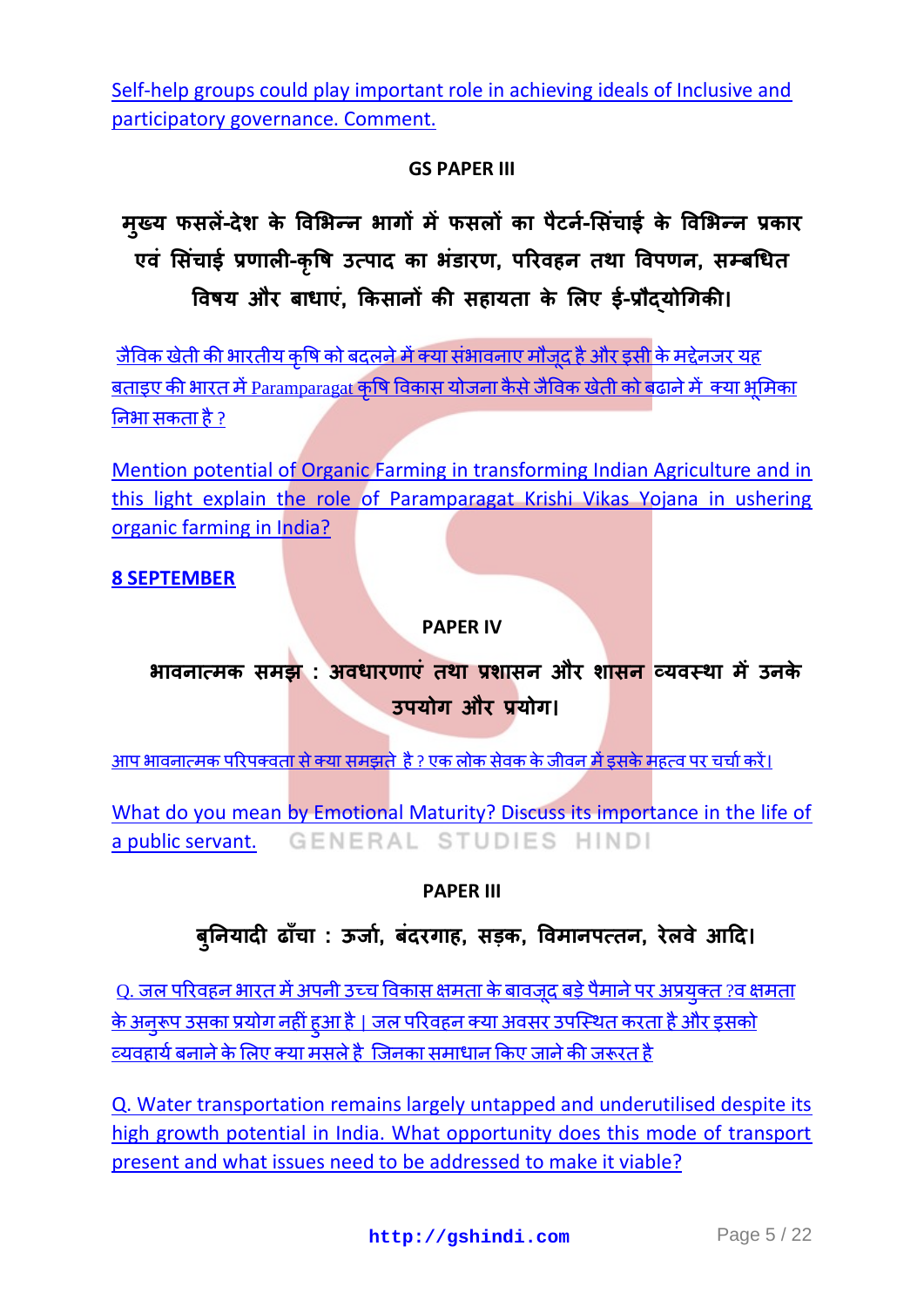[Self-help groups could play important role in achieving ideals of Inclusive and](http://gshindi.com/category/gs-paper-2/role-of-self-help-group-in-governance)  [participatory governance. Comment.](http://gshindi.com/category/gs-paper-2/role-of-self-help-group-in-governance)

## **GS PAPER III**

**भ ु ख्म पसरें-देश के विभबन्न बागों भेंपसरों का ऩैटना-भसॊचाइा के विभबन्न प्रकाय एिॊ भसॊचाइा प्रणारी-क ृ वि उत्ऩाद का बॊडायण, ऩरयिहन तथा विऩणन, सम्फधधत वििम औय फाधाएॊ, क्रकसानों की सहामता के भरए इा-प्रौद्मोधगकी।**

<u>जैविक खेती की भारतीय कषि को बदलने में क्या संभावनाए मौजद है और इसी के मद्देनजर यह</u> <u>बताइए की भारत में [Paramparagat](http://gshindi.com/category/gs-paper-3/role-of-organic-farming-in-krishi-vikas-yojana) कषि विकास योजना कैसे जैविक खेती को बढाने में क्या भमिका</u> निभा सकता है [?](http://gshindi.com/category/gs-paper-3/role-of-organic-farming-in-krishi-vikas-yojana)

[Mention potential of Organic Farming in transforming Indian Agriculture and in](http://gshindi.com/category/gs-paper-3/role-of-organic-farming-in-krishi-vikas-yojana)  [this light explain the role of Paramparagat Krishi Vikas Yojana in ushering](http://gshindi.com/category/gs-paper-3/role-of-organic-farming-in-krishi-vikas-yojana)  [organic farming in India?](http://gshindi.com/category/gs-paper-3/role-of-organic-farming-in-krishi-vikas-yojana)

## **[8 SEPTEMBER](http://gshindi.com/category/mains-answer-writing/8-september-mains-answer-writing)**

## **PAPER IV**

## **बािनात्भक सभझ : अिधायणाएॊ तथा प्रशासन औय शासन व्मिस्था भेंउनके उऩमोग औय प्रमोग।**

आपभावनात्मक परिपक्वता से क्या समझते है ? एक लोक सेवक के जीवन में इसके महत्व पर चर्चा करें।

[What do you mean by Emotional Maturity? Discuss its importance in the life of](http://gshindi.com/category/gs-paper-4/emotional-maturity)  GENERAL STUDIES HINDI [a public servant.](http://gshindi.com/category/gs-paper-4/emotional-maturity)

## **PAPER III**

## **फ ु ननमादी ढाॉचा : ऊर्ा, ा फॊदयगाह, सड़क, विभानऩत्तन, येरिे आदद।**

<u>Q. जल परिवहन भारत में अपनी उच्च विकास क्षमता के बावजूद बड़े पैमाने पर अप्रयुक्त ?व क्षमता</u> <u>के अनरूप उसका प्रयोग नहीं हुआ है । जल परिवहन क्या अवसर उपस्थित करता है और इसको</u> व्यवहार्य बनाने के लिए क्या मसले है जिनका समाधान किए जाने की जरूरत है

[Q. Water transportation remains largely untapped and underutilised despite its](http://gshindi.com/category/gs-paper-3/underestimated-water-transport-in-india)  [high growth potential in India. What opportunity does this mode of transport](http://gshindi.com/category/gs-paper-3/underestimated-water-transport-in-india)  present [and what issues need to be addressed to make it viable?](http://gshindi.com/category/gs-paper-3/underestimated-water-transport-in-india)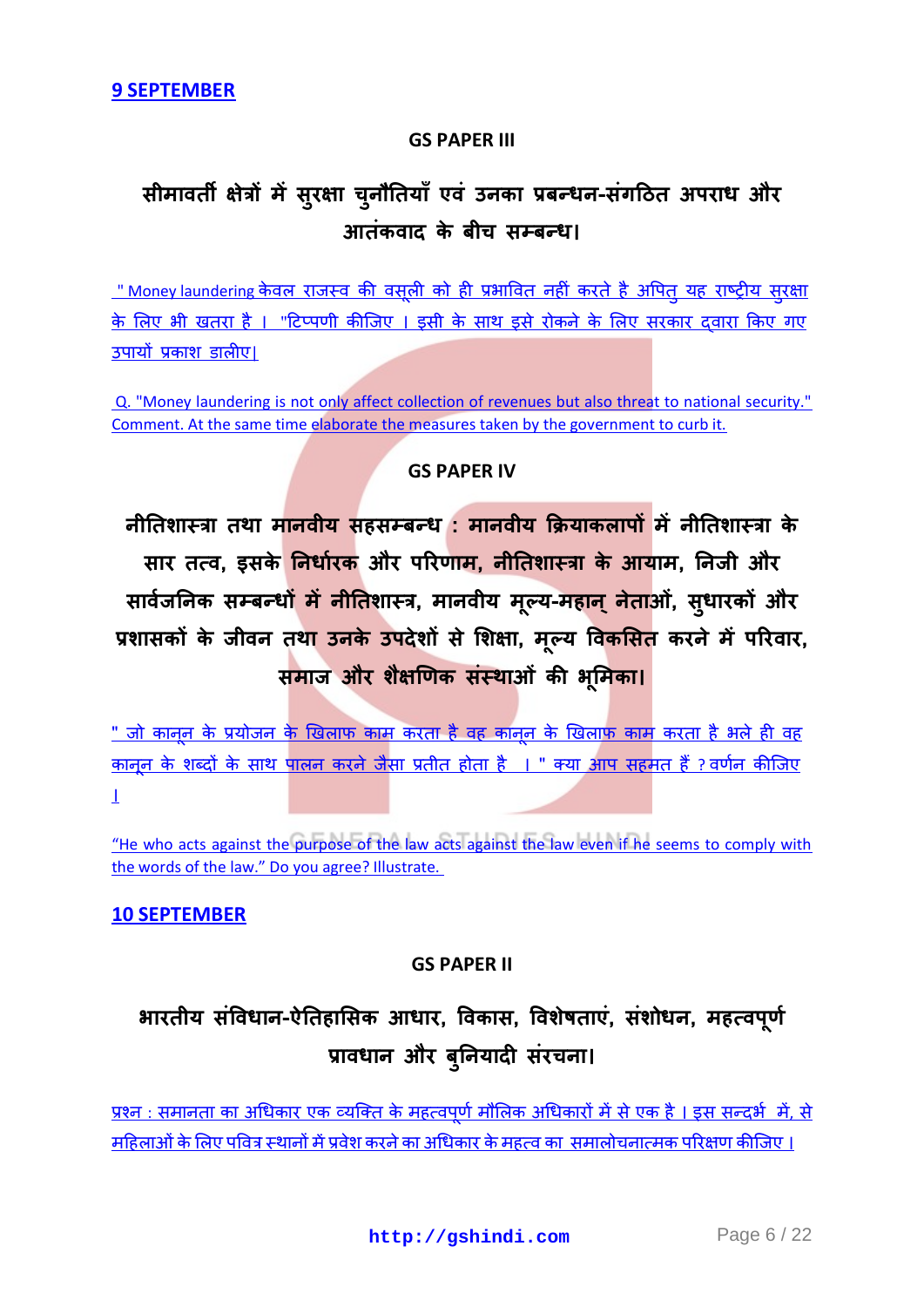#### **GS PAPER III**

# **सीभािती ऺेत्रों भेंसुयऺा च ु नौनतमाॉएिॊ उनका प्रफन्धन-सॊगदठत अऩयाध औय आतॊकिाद के फीच सम्फन्ध।**

<u>[" Money laundering](http://gshindi.com/category/gs-paper-3/money-laundering) केवल राजस्व की वसली को ही प्रभावित नहीं करते है अपित यह राष्ट्रीय सुरक्षा</u> के लिए भी खतरा है । "टिप्पणी कीजिए । इसी के साथ इसे रोकने के लिए सरकार दवारा किए गए उपायों प्रकाश डालीए।

[Q. "Money laundering is not only affect collection of revenues but also threat to national security."](http://gshindi.com/category/gs-paper-3/money-laundering)  [Comment. At the same time elaborate the measures taken by the government to curb it.](http://gshindi.com/category/gs-paper-3/money-laundering)

#### **GS PAPER IV**

**नीनतशास्त्रा तथा भानिीम सहसम्फन्ध : भानिीम क्रिमाकराऩों भेंनीनतशास्त्रा के साय तत्ि, इसके ननधाायक औय ऩरयणाभ, नीनतशास्त्रा के आमाभ, ननर्ी औय सािर्ा ननक सम्फन्धों भेंनीनतशास्त्र, भानिीम भल् ू म-भहान्नेताओॊ, सु धायकों औय प्रशासकों के र्ीिन तथा उनके उऩदेशों से भशऺा, भ ू ल्म विकभसत कयने भेंऩरयिाय, सभार् औय शैऺणणक सस्ॊ थाओॊ की बभ ू भका।**

<u>" जो कानून के प्रयोजन के खिलाफ काम करता है वह कानून के खिलाफ काम करता है भले ही वह</u> <u>कानून के शब्दों के साथ पालन करने जैसा प्रतीत होता है । " क्या आप सहमत हैं ? वर्णन कीजिए</u> [।](http://gshindi.com/category/gs-paper-4/purpose-of-law)

"He who acts [against the purpose of the law acts against the law even if he seems to comply with](http://gshindi.com/category/gs-paper-4/purpose-of-law)  [the words of the law." Do you agree? Illustrate.](http://gshindi.com/category/gs-paper-4/purpose-of-law)

#### **[10 SEPTEMBER](http://gshindi.com/category/mains-answer-writing/10-september-mains-answer-writing)**

#### **GS PAPER II**

# **बायतीम सॊविधान-ऐनतहाभसक आधाय, विकास, विशेिताएॊ, सॊशोधन, भहत्िऩ ू णा प्रािधान औय फ ु ननमादी सॊयचना।**

<u>प्रश्न : समानता का अधिकार एक व्यक्ति के महत्वपूर्ण मौलिक अधिकारों में से एक है । इस सन्दर्भ में, से</u> महिलाओं के लिए पवित्र स्थानों में प्रवेश करने का अधिकार के महत्व का समालोचनात्मक परिक्षण कीजिए ।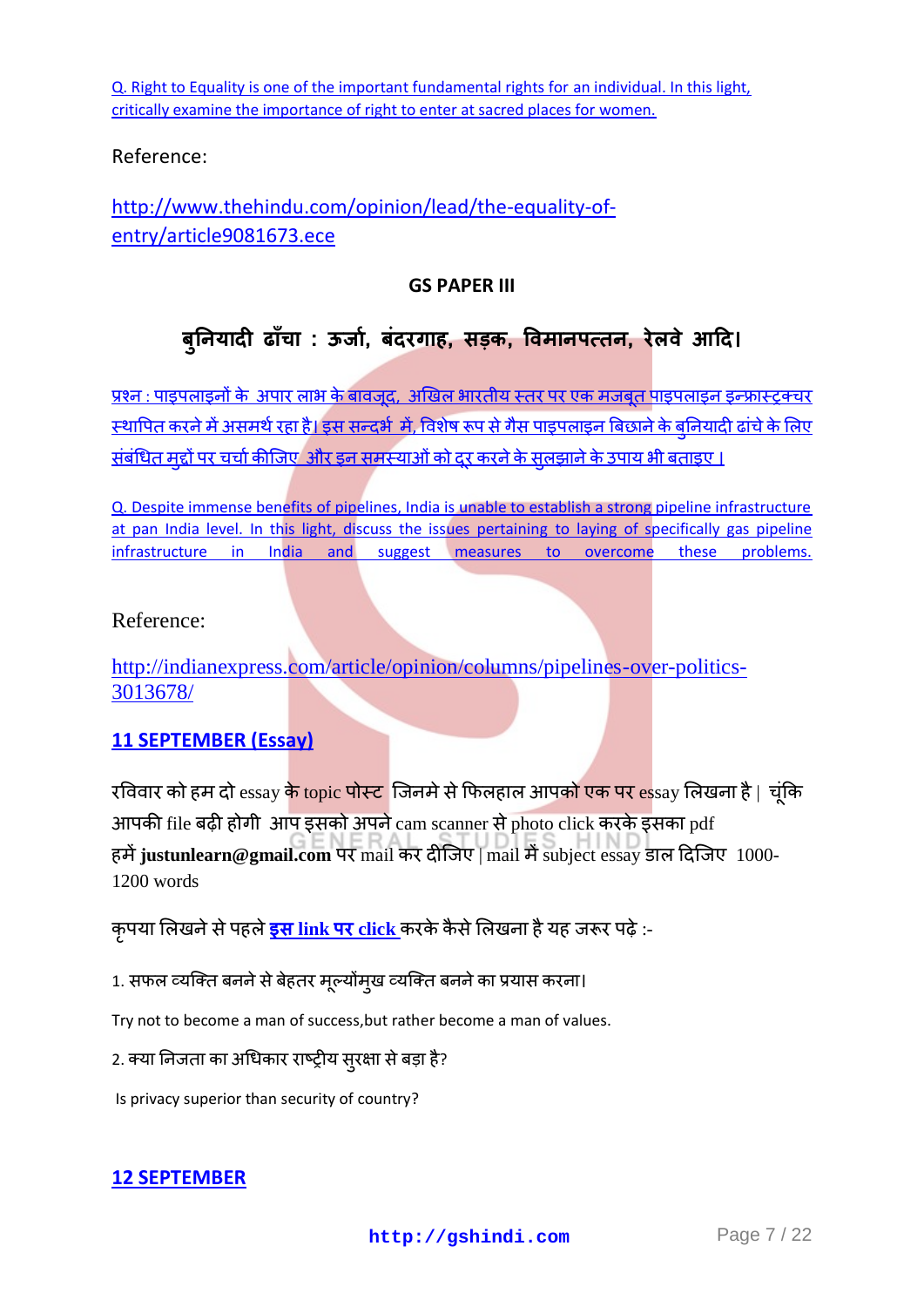[Q. Right to Equality is one of the important fundamental rights for an individual. In this light,](http://gshindi.com/category/gs-paper-2/right-to-equality)  [critically examine the importance of right to enter at sacred places for women.](http://gshindi.com/category/gs-paper-2/right-to-equality)

## Reference:

[http://www.thehindu.com/opinion/lead/the-equality-of](http://www.thehindu.com/opinion/lead/the-equality-of-entry/article9081673.ece)[entry/article9081673.ece](http://www.thehindu.com/opinion/lead/the-equality-of-entry/article9081673.ece)

### **GS PAPER III**

## **फ ु ननमादी ढाॉचा : ऊर्ा, ा फॊदयगाह, सड़क, विभानऩत्तन, येरिे आदद।**

<u>प्रश्न : पाइपलाइनों के अपार लाभ के बावजूद, अखिल भारतीय स्तर पर एक मजबूत पाइपलाइन इन्फ्रास्ट्रक्चर</u> <u>स्थापित करने में असमर्थ रहा है। इस सन्दर्भ में, विशेष रूप से गैस पाइपलाइन बिछाने के बुनियादी ढांचे के लिए</u> <u>संबंधित मुद्दों पर चर्चा कीजिए और इन समस्याओं को दूर करने के सुलझाने के उपाय भी बताइए ।</u>

[Q. Despite immense benefits of pipelines, India is unable to establish a strong pipeline infrastructure](http://gshindi.com/category/gs-paper-3/pipelines-pan-india)  [at pan India level. In this light, discuss the issues pertaining to laying of specifically gas pipeline](http://gshindi.com/category/gs-paper-3/pipelines-pan-india)  [infrastructure in India and suggest measures to overcome these problems.](http://gshindi.com/category/gs-paper-3/pipelines-pan-india) 

## Reference:

[http://indianexpress.com/article/opinion/columns/pipelines-over-politics-](http://indianexpress.com/article/opinion/columns/pipelines-over-politics-3013678/)[3013678/](http://indianexpress.com/article/opinion/columns/pipelines-over-politics-3013678/)

## **[11 SEPTEMBER \(Essay\)](http://gshindi.com/category/essay/essay-writing-11-september)**

रविवार को हम दो essay <mark>के topic पोस्ट</mark> जिनमे से फिलहाल आपको एक पर essay लिखना है | चंकि आपकी file बढ़ी होगी आप इसको अपने cam scanner से photo click करके इसका pdf हमें justunlearn@gmail.com पर mail कर दीजिए | mail में subject essay डाल दिजिए 1000-1200 words

<u>कुपया लिखने से पहले **इस link पर** click</u> करके कैसे लिखना है यह जरूर पढ़े :-

1. सफल व्यक्ति बनने से बेहतर मूल्योंमुख व्यक्ति बनने का प्रयास करना।

Try not to become a man of success,but rather become a man of values.

2. क्या निजता का अधिकार राष्ट्रीय सुरक्षा से बड़ा है?

Is privacy superior than security of country?

#### **[12 SEPTEMBER](http://gshindi.com/category/mains-answer-writing/12-september-mains-answer-writing)**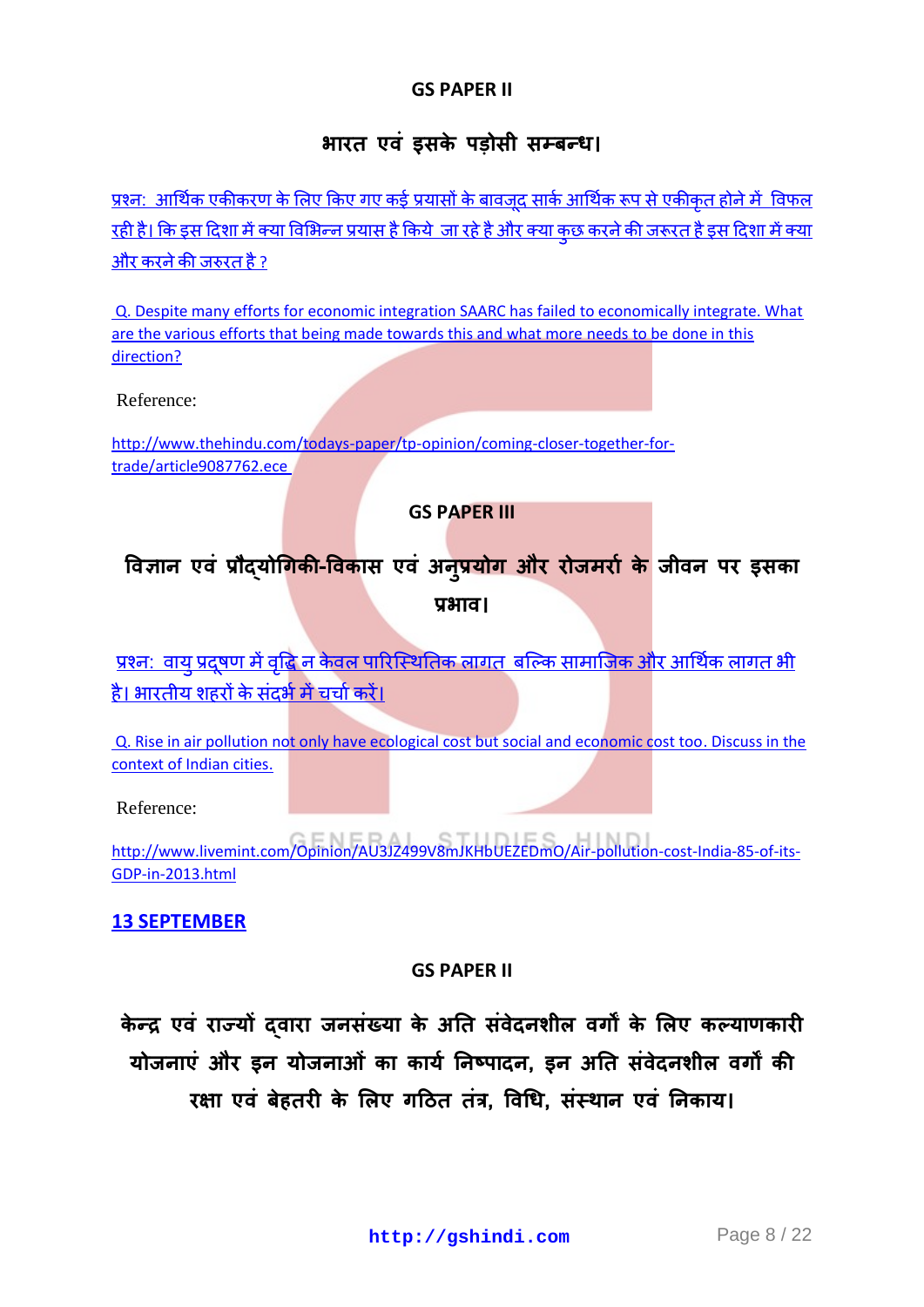### **GS PAPER II**

## **आरत एवं इसके पड़ोसी सम्बन्ध।**

<u>प्रश्न: आर्थिक एकीकरण के लिए किए गए कई प्रयासों के बावजुद सार्क आर्थिक रूप से एकीकृत होने में विफल</u> <u>रही है। कि इस दिशा में क्या विभिन्न प्रयास है किये जा रहे है और क्या कछ करने की जरूरत है इस दिशा में क्या</u> और करने की जरुरत है ?

[Q. Despite many efforts for economic integration SAARC has failed to economically integrate. What](http://gshindi.com/category/gs-paper-2/saarc-failure-in-economic-integration)  [are the various efforts that being made towards this and what more needs to be done in this](http://gshindi.com/category/gs-paper-2/saarc-failure-in-economic-integration)  [direction?](http://gshindi.com/category/gs-paper-2/saarc-failure-in-economic-integration)

Reference:

http://www.thehindu.com/todays-paper/tp-opinion/coming-closer-together-fortrade/article9087762.ece

#### **GS PAPER III**

## विज्ञान एवं प्रौद्**योगिकी-विकास एवं अनुप्रयोग और रोजमरों के** जीवन पर इस  $\frac{1}{2}$

<u>प्रश्न: वाय प्रदषण में वद्धि न केवल पारिस्थितिक लागत बल्कि सामाजिक और आर्थिक लागत भी </u> है। भारतीय शहरों के संदर्भ में चर्चा करें।

[Q. Rise in air pollution not only have ecological cost but social and economic cost too. Discuss in the](http://gshindi.com/category/gs-paper-3/rising-air-pollution-in-india)  [context of Indian cities.](http://gshindi.com/category/gs-paper-3/rising-air-pollution-in-india)

Reference:

[http://www.livemint.com/Opinion/AU3JZ499V8mJKHbUEZEDmO/Air-pollution-cost-India-85-of-its-](http://www.livemint.com/Opinion/AU3JZ499V8mJKHbUEZEDmO/Air-pollution-cost-India-85-of-its-GDP-in-2013.html)[GDP-in-2013.html](http://www.livemint.com/Opinion/AU3JZ499V8mJKHbUEZEDmO/Air-pollution-cost-India-85-of-its-GDP-in-2013.html)

## **[13 SEPTEMBER](http://gshindi.com/category/mains-answer-writing/13-september-mains-answer-writing)**

#### **GS PAPER II**

केन्द्र एवं राज्यों दवारा जनसंख्या के अति संवेदनशील वर्गों के लिए कल्याणकारी <u>योजनाएं और इन योजनाओं का कार्य निष्पादन, इन अति संवेदनशील वर्गों की</u> **रक्षा एवं बेहतरी के लिए गठित तंत्र. विधि. संस्थान एवं निकाय।**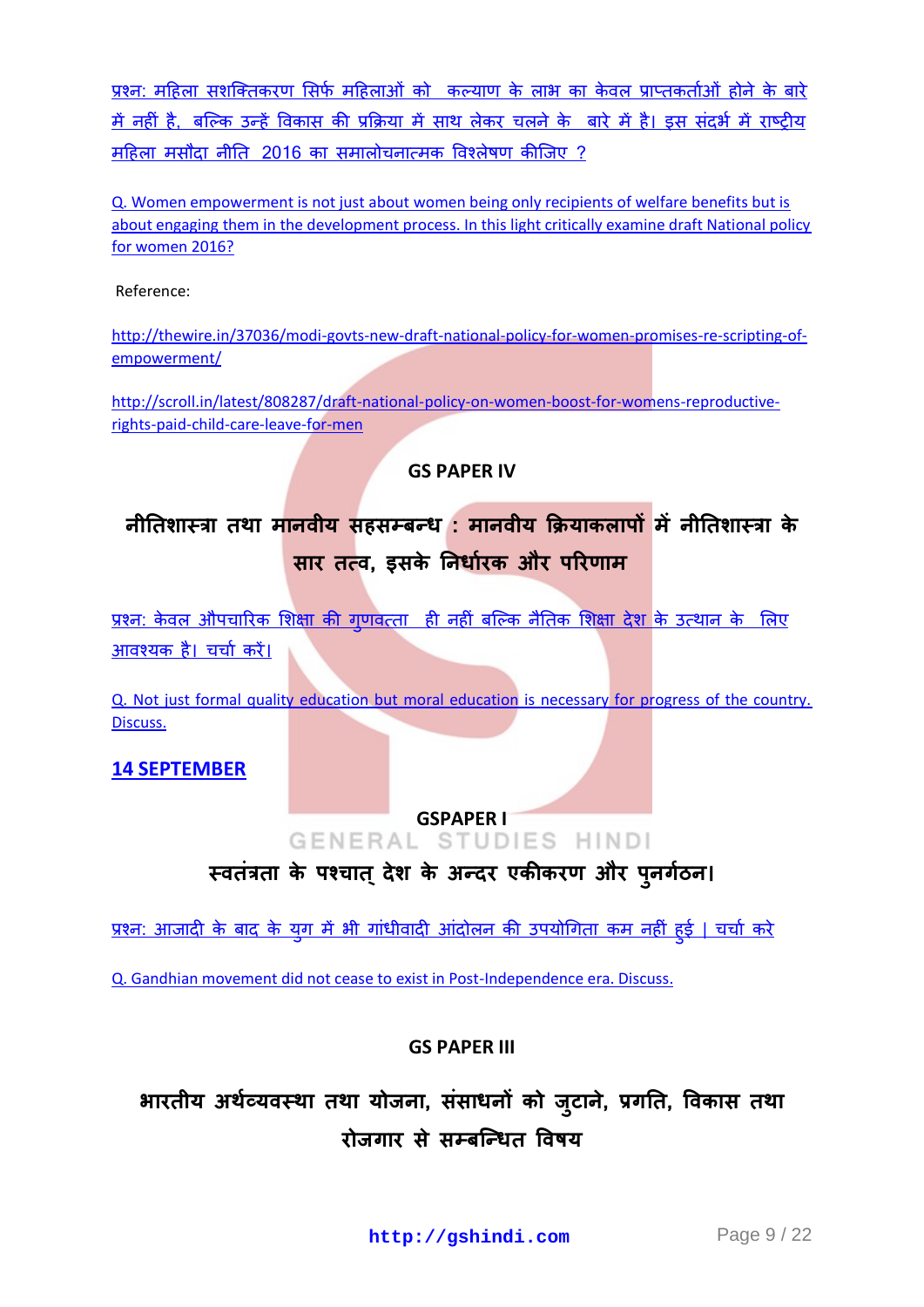प्रश्न: महिला सशक्तिकरण सिर्फ महिलाओं को कल्याण के लाभ का केवल प्राप्तकर्ताओं होने के बारे में नहीं है, बल्कि उन्हें विकास की प्रक्रिया में साथ लेकर चलने के बारे में है। इस संदर्भ में राष्टीय महिला मसौदा नीति 2016 का समालोचनात्मक विश्लेषण कीजिए ?

[Q. Women empowerment is not just about women being only recipients of welfare benefits but is](http://gshindi.com/category/gs-paper-2/women-empowerment)  [about engaging them in the development process. In this light critically examine draft National policy](http://gshindi.com/category/gs-paper-2/women-empowerment)  [for women 2016?](http://gshindi.com/category/gs-paper-2/women-empowerment)

Reference:

[http://thewire.in/37036/modi-govts-new-draft-national-policy-for-women-promises-re-scripting-of](http://thewire.in/37036/modi-govts-new-draft-national-policy-for-women-promises-re-scripting-of-empowerment/)[empowerment/](http://thewire.in/37036/modi-govts-new-draft-national-policy-for-women-promises-re-scripting-of-empowerment/)

[http://scroll.in/latest/808287/draft-national-policy-on-women-boost-for-womens-reproductive](http://scroll.in/latest/808287/draft-national-policy-on-women-boost-for-womens-reproductive-rights-paid-child-care-leave-for-men)[rights-paid-child-care-leave-for-men](http://scroll.in/latest/808287/draft-national-policy-on-women-boost-for-womens-reproductive-rights-paid-child-care-leave-for-men)

#### **GS PAPER IV**

नीतिशास्त्रा तथा मानवीय सहसम्बन्ध : मानवीय क्रियाकलापों में नीतिशास्त्रा के **सार तत्व, इसके निर्धारक और परिणाम** 

<u>प्रश्न: केवल औपचारिक शिक्षा की गणवत्ता ही नहीं बल्कि नैतिक शिक्षा देश के उत्थान के लिए</u> आवश्यकहै। चर्चा करें।

[Q. Not just formal quality education but moral education is necessary for progress of the country.](http://gshindi.com/category/gs-paper-4/moral-education)  [Discuss.](http://gshindi.com/category/gs-paper-4/moral-education)

**[14 SEPTEMBER](http://gshindi.com/category/mains-answer-writing/14-september-mains-answer-writing)**

# GSPAPER I<br>GENERAL STUDIES HINDI

स्वतंत्रता के पश्चात् देश के अन्दर एकीकरण और पुन

<u>प्रश्न: आजादी के बाद के यूग में भी गांधीवादी आंदोलन की उपयोगिता कम नहीं हुई | चर्चा करे</u>

[Q. Gandhian movement did not cease to exist in Post-Independence era. Discuss.](http://gshindi.com/category/gs-paper-1/post-independence-gandhian-movement)

## **GS PAPER III**

भारतीय अर्थव्यवस्था तथा योजना, ससाधनो को जुटाने, प्रगति, रोजगार से सम्बन्धित विषय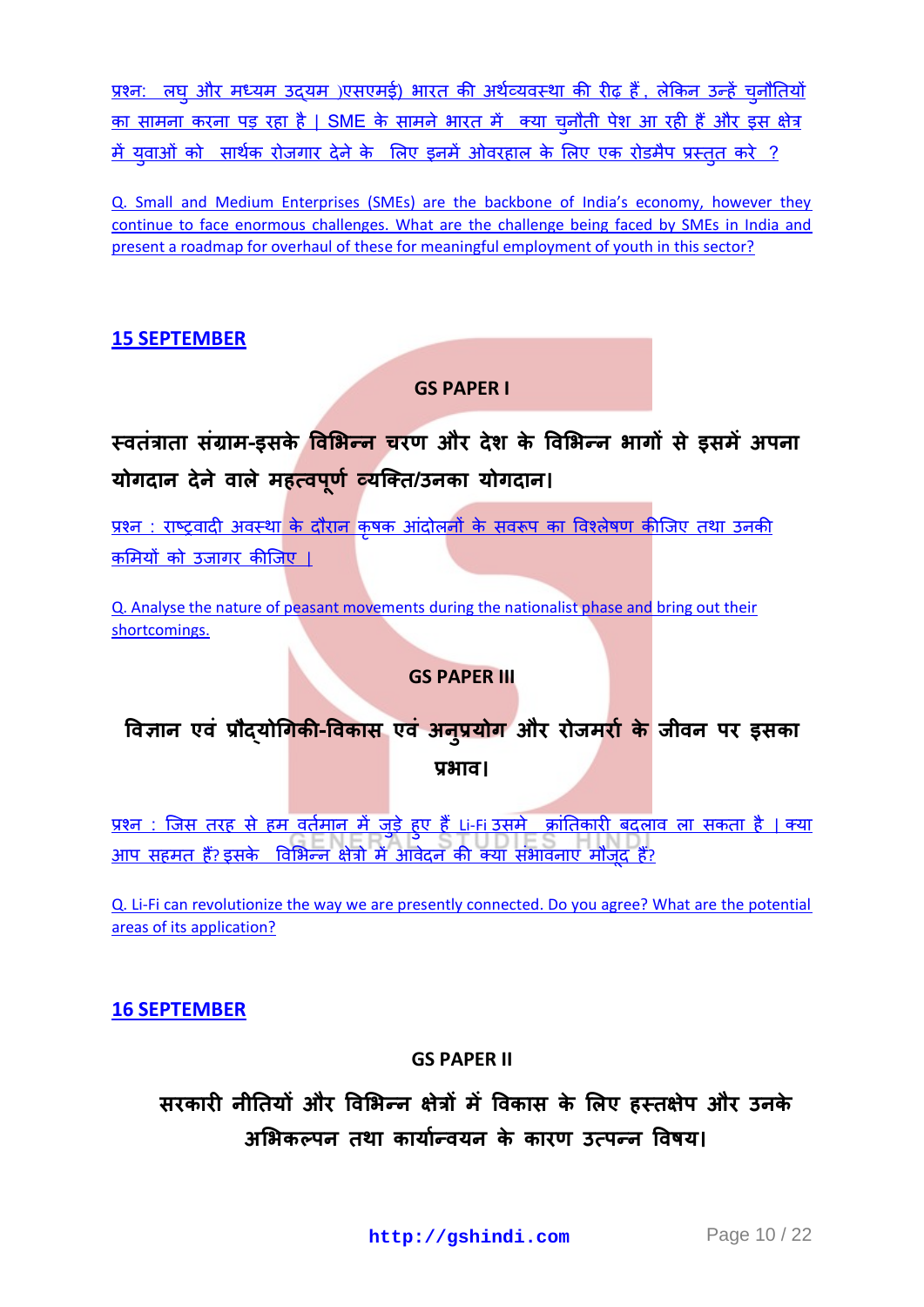प्रश्न: लघु और मध्यम उद्यम)एसएमई) भारत की अर्थव्यवस्था की रीढ़ हैं, लेकिन उन्हें चुनौतियों <u>का सामना करना पड़ रहा है [| SME](http://gshindi.com/category/gs-paper-3/sme-backbone-of-indian-economy) के सामने भारत में क्या च्नौती पेश आ रही हैं और इस क्षेत्र</u> <u>में यवाओं को सार्थक रोजगार देने के लिए इनमें ओवरहाल के लिए एक रोडमैप प्रस्तत करे ?</u>

[Q. Small and Medium Enterprises \(SMEs\) are the backbone of India's economy, however they](http://gshindi.com/category/gs-paper-3/sme-backbone-of-indian-economy)  [continue to face enormous challenges. What are the challenge being faced by SMEs in India and](http://gshindi.com/category/gs-paper-3/sme-backbone-of-indian-economy)  [present a roadmap for overhaul of these for meaningful employment of youth in this sector?](http://gshindi.com/category/gs-paper-3/sme-backbone-of-indian-economy)

## **[15 SEPTEMBER](http://gshindi.com/category/mains-answer-writing/15-september-mains-answer-writing)**

#### **GS PAPER I**

# **स्ितॊत्राता सॊग्राभ-इसके विभबन्न चयण औय देश के विभबन्न बागों से इसभेंअऩना मोगदान देनेिारे भहत्िऩ ू णा व्मक्तत/उनका मोगदान।**

<u>प्रश्न : राष्ट्रवादी अवस्था के दौरान कृषक आंदोलनों के सवरूप का विश्लेषण कीजिए तथा उनकी</u> <u>कमियों को उजागर कीजिए ।</u>

[Q. Analyse the nature of peasant movements during the nationalist phase and bring out their](http://gshindi.com/category/gs-paper-1/nationalist-peasant-movements)  [shortcomings.](http://gshindi.com/category/gs-paper-1/nationalist-peasant-movements)

#### **GS PAPER III**

## **विऻान एिॊ प्रौद्मोधगकी-विकास एिॊ अन ु प्रमोग औय योर्भयाा के र्ीिन ऩय इसका प्रबाि।**

<u>प्रश्न : जिस तरह से हम वर्तमान में जुड़े हुए हैं Li-Fi उसमे क्रांतिकारी बदलाव ला सकता है | क्या</u> <u>आप सहमत हैं? इसके विभिन्न क्षेत्रो में आवेदन की क्या संभावनाए मौजूद हैं?</u>

[Q. Li-Fi can revolutionize the way we are presently connected. Do you agree? What are the potential](http://gshindi.com/category/gs-paper-3/lifi-its%20application-and-uses)  [areas of its application?](http://gshindi.com/category/gs-paper-3/lifi-its%20application-and-uses)

**[16 SEPTEMBER](http://gshindi.com/category/mains-answer-writing/16-september-mains-answer-writing)**

#### **GS PAPER II**

## **सयकायी नीनतमों औय विभबन्न ऺेत्रों भें विकास के भरए हस्तऺेऩ औय उनके** अभिकल्पन तथा कार्यान्वयन के कारण उत्पन्न विषय।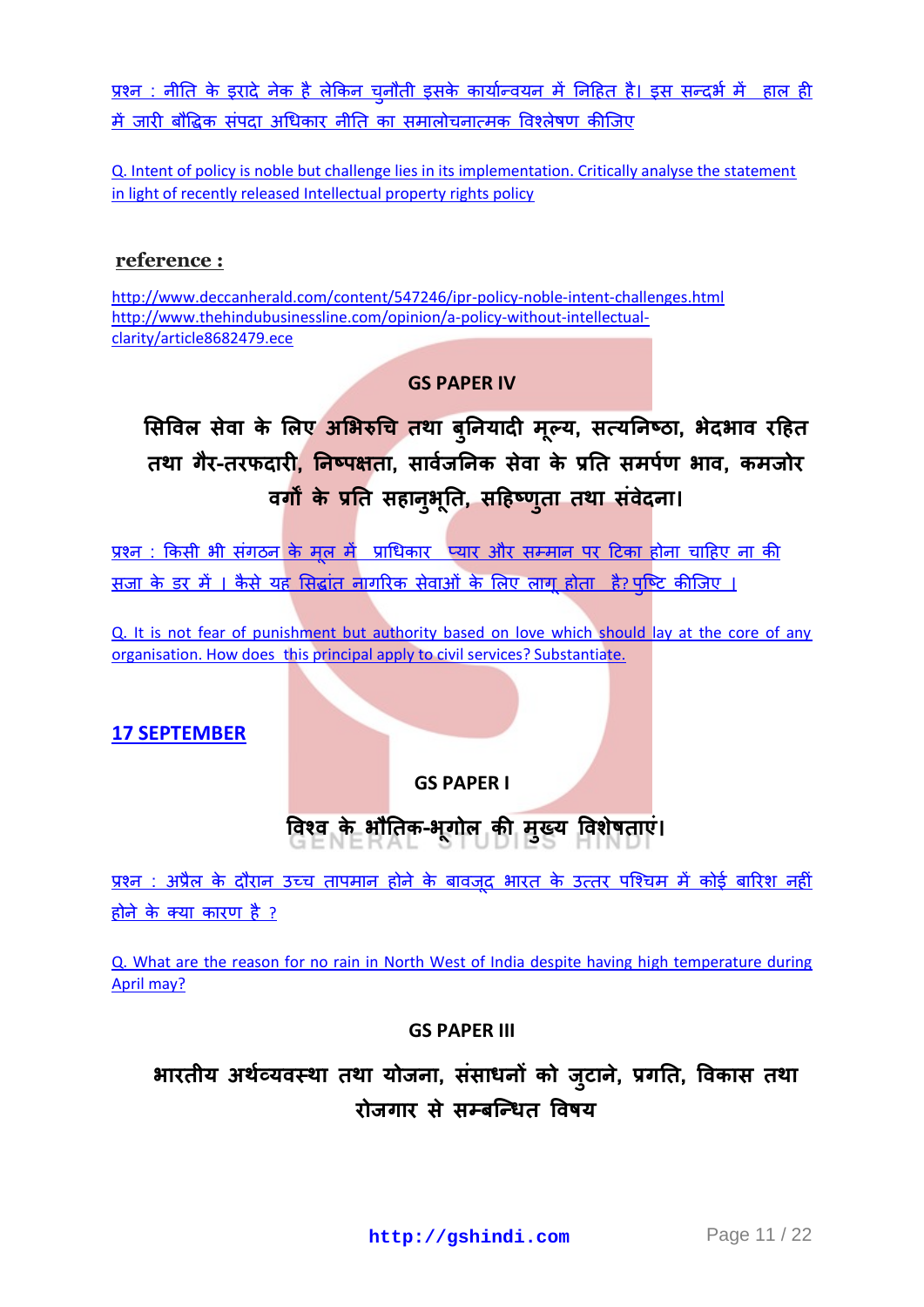<u>प्रश्न : नीति के इरादे नेक है लेकिन चुनौती इसके कार्यान्वयन में निहित है। इस सन्दर्भ में हाल ही</u> में जारी बौद्धिक संपदा अधिकार नीति का समालोचनात्मक विश्लेषण कीजिए

[Q. Intent of policy is noble but challenge lies in its implementation. Critically analyse the statement](http://gshindi.com/category/gs-paper-2/intellectual-property-rights-policy)  [in light of recently released Intellectual property rights policy](http://gshindi.com/category/gs-paper-2/intellectual-property-rights-policy)

## **reference :**

<http://www.deccanherald.com/content/547246/ipr-policy-noble-intent-challenges.html> [http://www.thehindubusinessline.com/opinion/a-policy-without-intellectual](http://www.thehindubusinessline.com/opinion/a-policy-without-intellectual-clarity/article8682479.ece)[clarity/article8682479.ece](http://www.thehindubusinessline.com/opinion/a-policy-without-intellectual-clarity/article8682479.ece)

## **GS PAPER IV**

सिविल सेवा के लिए अभिरुचि तथा बुनियादी मूल्य, सत्यनिष्ठा, भेदभाव रहित **तथा गैय-तयपदायी, ननष्ऩऺता, सािार्ननक सेिा के प्रनत सभऩाण बाि, कभर्ोय िगों के प्रनत सहान ु ब ू नत, सदहष्णतु ा तथा सॊिदे ना।**

प्रश्न : किसी भी संगठन के मल में प्राधिकार प्यार और सम्मान पर टिका होना चाहिए ना की <u>सजा के डर में । कैसे यह सिद्धांत नागरिक सेवाओं के लिए लागू होता है? पृष्टि कीजिए ।</u>

[Q. It is not fear of punishment but authority based on love which should lay at the core of any](http://gshindi.com/category/gs-paper-4/fear-of-punishment-in-civil-service)  organisation. How does this principal apply [to civil services? Substantiate.](http://gshindi.com/category/gs-paper-4/fear-of-punishment-in-civil-service) 

## **[17 SEPTEMBER](http://gshindi.com/category/mains-answer-writing/17-september-mains-answer-writing)**

**GS PAPER I**

# विश्व के भौतिक-भूगोल की मुख्य विशेषताए।

<u>प्रश्न : अप्रैल के दौरान उच्च तापमान होने के बावजद भारत के उत्तर पश्चिम में कोई बारिश नहीं</u> [होने के क्मा कायण है](http://gshindi.com/category/gs-paper-1/no-rain-in%20north-west-india) ?

[Q. What are the reason for no rain in North West of India despite having high temperature during](http://gshindi.com/category/gs-paper-1/no-rain-in%20north-west-india)  [April may?](http://gshindi.com/category/gs-paper-1/no-rain-in%20north-west-india)

## **GS PAPER III**

**बायतीम अथाव्मिस्था तथा मोर्ना, ससॊ ाधनों को र् ु टान, े प्रगनत, विकास तथा योर्गाय से सम्फक्न्धत वििम**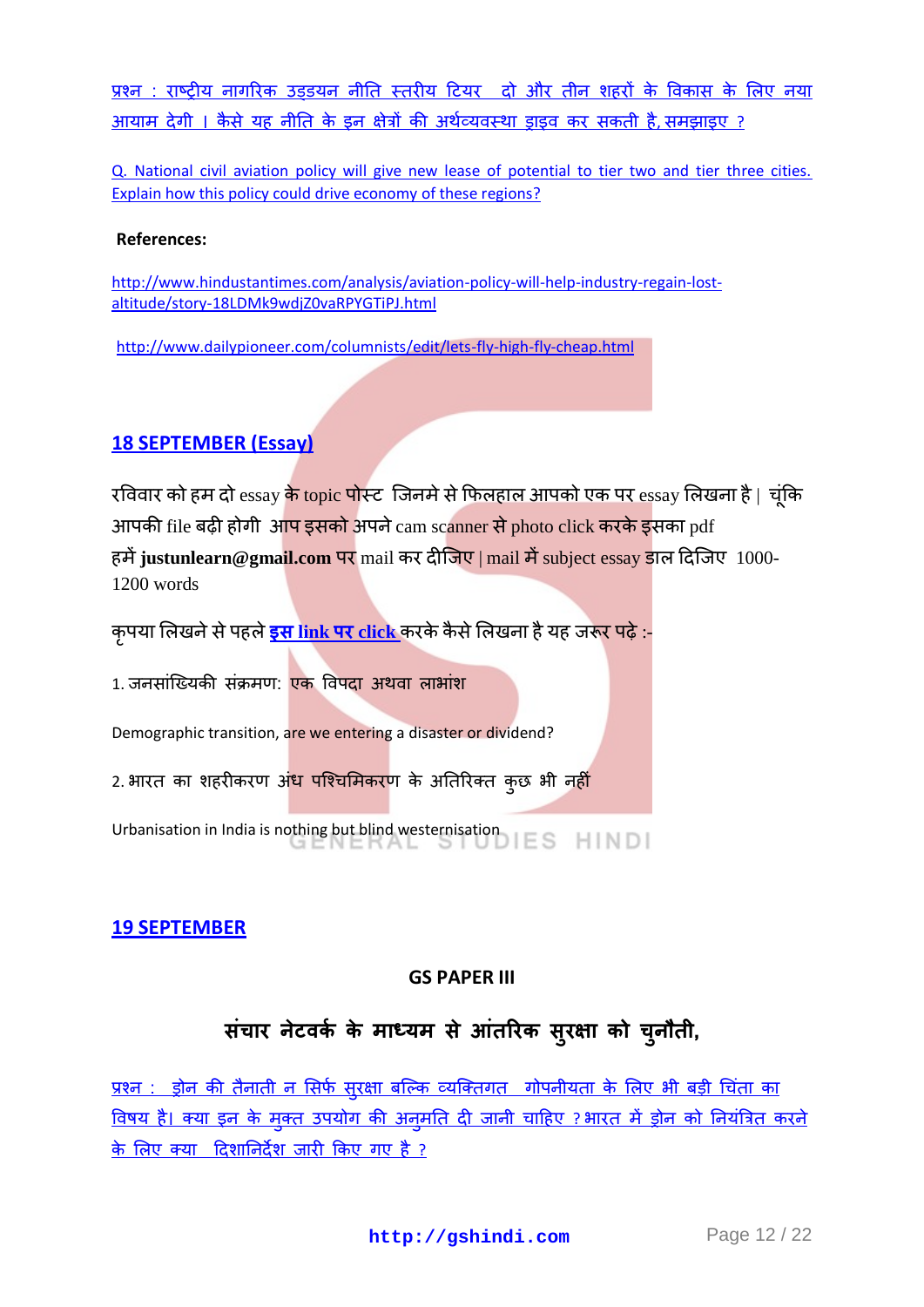प्रश्न : राष्ट्रीय नागरिक उड़डयन नीति स्तरीय टियर )दो और तीन शहरों के विकास के लिए नया आयाम देगी । कैसे यह नीति के इन क्षेत्रों की अर्थव्यवस्था डाइव कर सकती है, समझाइए ?

[Q. National civil aviation policy will give new lease of potential to tier two and tier three cities.](http://gshindi.com/category/gs-paper-3/national-civil-aviation-policy-for-tier-2-and-3-cities)  [Explain how this policy could drive economy of these regions?](http://gshindi.com/category/gs-paper-3/national-civil-aviation-policy-for-tier-2-and-3-cities)

#### **References:**

[http://www.hindustantimes.com/analysis/aviation-policy-will-help-industry-regain-lost](http://www.hindustantimes.com/analysis/aviation-policy-will-help-industry-regain-lost-altitude/story-18LDMk9wdjZ0vaRPYGTiPJ.html)[altitude/story-18LDMk9wdjZ0vaRPYGTiPJ.html](http://www.hindustantimes.com/analysis/aviation-policy-will-help-industry-regain-lost-altitude/story-18LDMk9wdjZ0vaRPYGTiPJ.html)

<http://www.dailypioneer.com/columnists/edit/lets-fly-high-fly-cheap.html>

## **[18 SEPTEMBER \(Essay\)](http://gshindi.com/category/essay/essay-writing-18-september)**

रविवार को हम दो essay <mark>के topic पो</mark>स्ट जिनमे से फिलहाल आपको एक पर essay लिखना है | चूंकि आपकी file बढ़ी होगी आप इसको अपने cam scanner से photo click करके इसका pdf हमें justunlearn@gmail.com पर mail कर दीजिए | mail में subject essay डाल दिजिए 1000-1200 words

<u>कृ</u>पया लिखने से पहले <mark>इस link पर click</mark> करके कैसे लिखना है यह जरूर पढ़े :-

1. जनसांख्यिकी संक्रमण: <mark>एक विपदा अथवा लाभांश</mark>

Demographic transition, are we entering a disaster or dividend?

2. भारत का शहरीकरण अं<mark>ध पश्चिमिकर</mark>ण के अतिरिक्त कुछ भी नहीं

Urbanisation in India is nothing but blind westernisation

#### **[19 SEPTEMBER](http://gshindi.com/category/mains-answer-writing/19-september-mains-answer-writing)**

#### **GS PAPER III**

## **सॊचाय नटे िका के भाध्मभ सेआतॊ रयक सुयऺा को च ु नौती,**

<u>प्रश्न : ड्रोन की तैनाती न सिर्फ सुरक्षा बल्कि व्यक्तिगत गोपनीयता के लिए भी बड़ी चिंता का</u> विषय है। क्या इन के मक्त उपयोग की अनमति दी जानी चाहिए ? भारत में ड्रोन को नियंत्रित करने [के लरए क्मा टदशाननदेश जायी ककए गए है](http://gshindi.com/category/gs-paper-3/drone-deployment-concerns-security-privacy) ?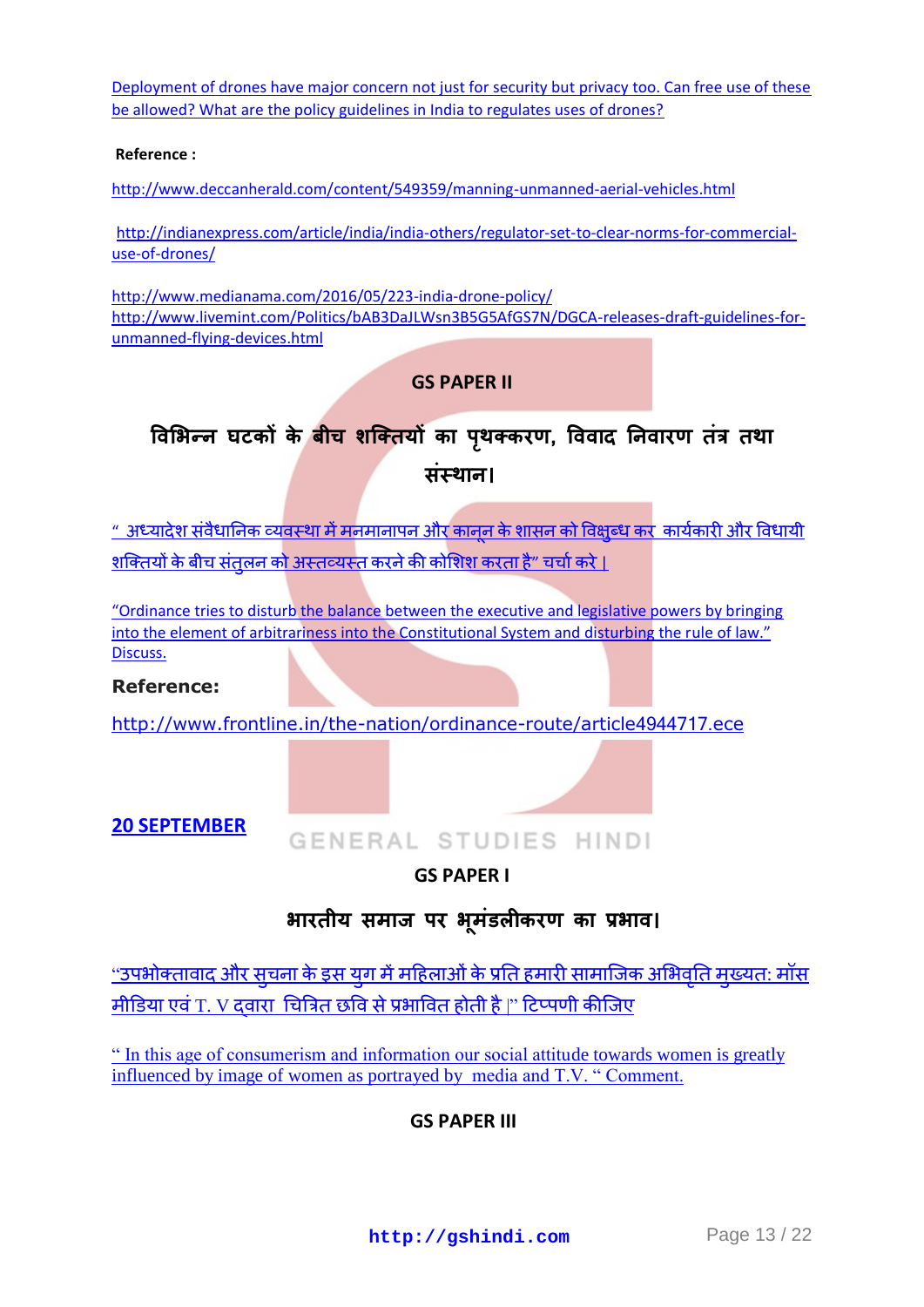[Deployment of drones have major concern not just for security but privacy too. Can free use of these](http://gshindi.com/category/gs-paper-3/drone-deployment-concerns-security-privacy)  [be allowed? What are the policy guidelines in India to regulates uses of drones?](http://gshindi.com/category/gs-paper-3/drone-deployment-concerns-security-privacy)

#### **Reference :**

<http://www.deccanherald.com/content/549359/manning-unmanned-aerial-vehicles.html>

[http://indianexpress.com/article/india/india-others/regulator-set-to-clear-norms-for-commercial](http://indianexpress.com/article/india/india-others/regulator-set-to-clear-norms-for-commercial-use-of-drones/)[use-of-drones/](http://indianexpress.com/article/india/india-others/regulator-set-to-clear-norms-for-commercial-use-of-drones/)

<http://www.medianama.com/2016/05/223-india-drone-policy/> [http://www.livemint.com/Politics/bAB3DaJLWsn3B5G5AfGS7N/DGCA-releases-draft-guidelines-for](http://www.medianama.com/2016/05/223-india-drone-policy/)[unmanned-flying-devices.html](http://www.medianama.com/2016/05/223-india-drone-policy/)

#### **GS PAPER II**

# **विभबन्न घटकों के फीच शक्ततमों का ऩथ ृ तकयण, वििाद ननिायण तॊत्र तथा सॊस्थान।**

<u>" अध्यादेश संवैधानिक व्यवस्था में मनमानापन और कानून के शासन को विक्षुब्ध कर कार्यकारी और विधायी</u> <u>शक्तियों के बीच संतुलन को अस्तव्यस्त करने की कोशिश करता है" चर्चा करे ।</u>

"Ordinance tries to disturb the balance between the executive and legislative powers by bringing [into the element of arbitrariness into the Constitutional System and disturbing the r](http://gshindi.com/category/gs-paper-2/effect-of-ordinances)ule of law." [Discuss.](http://gshindi.com/category/gs-paper-2/effect-of-ordinances)

**Reference:**

[http://www.frontline.in/the-nation/ordinance-route/article](http://www.frontline.in/the-nation/ordinance-route/article4944717.ece)4944717.ece

**[20 SEPTEMBER](http://gshindi.com/category/mains-answer-writing/20-september-mains-answer-writing)**

## GENERAL STUDIES HINDI

## **GS PAPER I**

## **बायतीम सभार् ऩय ब ू भॊडरीकयण का प्रबाि।**

<u>''उपभोक्तावाद और सचना के इस यग में महिलाओं के प्रति हमारी सामाजिक अभिवति मख्यत: मॉस</u> मीडिया एवं T. V दवारा चित्रित छवि से प्रभावित होती है।" टिप्पणी कीजिए

[" In this age of consumerism and information our social attitude towards women is greatly](http://gshindi.com/category/gs-paper-1/women-in-india)  [influenced by image of women as portrayed by](http://gshindi.com/category/gs-paper-1/women-in-india) media and T.V. " Comment.

## **GS PAPER III**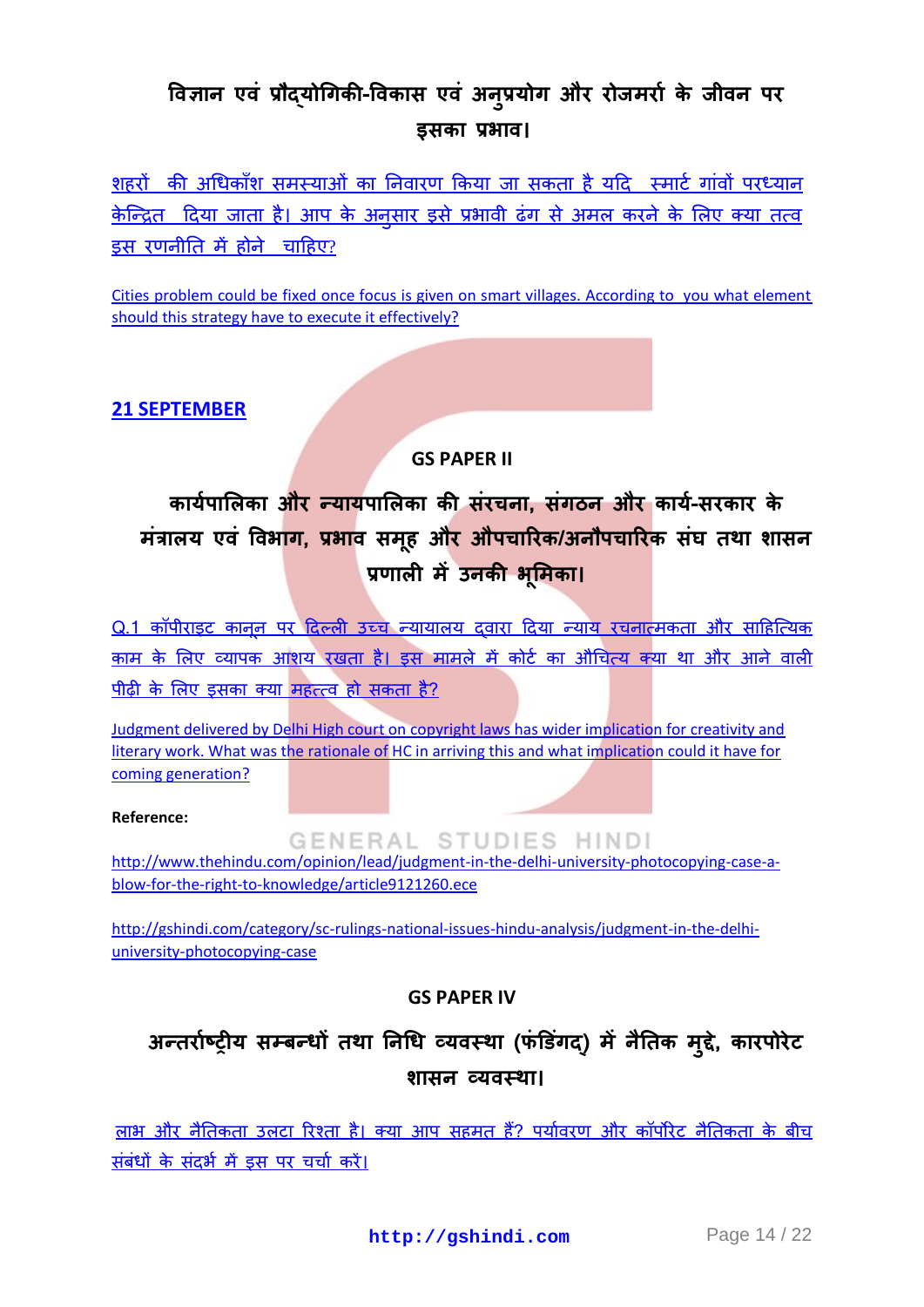## **विऻान एिॊ प्रौद्मोधगकी-विकास एिॊ अन ु प्रमोग औय योर्भयाा के र्ीिन ऩय इसका प्रबाि।**

<u>शहरों की अधिकाँश समस्याओं का निवारण किया जा स</u>कता है यदि स्मार्ट गांवों परध्यान केन्द्रित दिया जाता है। आप के अनुसार इसे प्रभावी ढंग से अमल करने के लिए क्या तत्व इस [यणनीनत](http://gshindi.com/category/gs-paper-3/focus-on-smart-villages) भें होने चाटहए?

Cities problem could be fixed once focus is given on smart villages. According to you what element [should this strategy have to execute it effectively?](http://gshindi.com/category/gs-paper-3/focus-on-smart-villages)

**[21 SEPTEMBER](http://gshindi.com/category/mains-answer-writing/21-september-mains-answer-writing)**

## **GS PAPER II**

# **कामाऩाभरका औय न्मामऩाभरका की सॊयचना, सॊगठन औय कामा-सयकाय के भॊत्रारम एिॊ विबाग, प्रबाि सभ ूह औय औऩचारयक/अनौऩचारयक सॊघ तथा शासन प्रणारी भेंउनकी ब ू भभका।**

<u>Q.1 कॉपीराइट कानन पर दिल्ली उच्च न्यायालय दवारा दिया न्याय रचनात्मकता और साहित्यिक</u> काम के लिए व्यापक आशय रखता है। इस मामले में कोर्ट का औचित्य क्या था और आने वाली पीढ़ी के लिए इसका क्या महत्त्व हो सकता है?

[Judgment delivered by Delhi High court on copyright laws has wider implication for creativity and](http://gshindi.com/category/gs-paper-2/sc-judgement-in-copyright-case)  [literary work. What was the rationale of HC in arriving this and what implication could it have for](http://gshindi.com/category/gs-paper-2/sc-judgement-in-copyright-case)  [coming generation?](http://gshindi.com/category/gs-paper-2/sc-judgement-in-copyright-case)

**Reference:**

GENERAL STUDIES HINDI

[http://www.thehindu.com/opinion/lead/judgment-in-the-delhi-university-photocopying-case-a](http://www.thehindu.com/opinion/lead/judgment-in-the-delhi-university-photocopying-case-a-blow-for-the-right-to-knowledge/article9121260.ece)[blow-for-the-right-to-knowledge/article9121260.ece](http://www.thehindu.com/opinion/lead/judgment-in-the-delhi-university-photocopying-case-a-blow-for-the-right-to-knowledge/article9121260.ece)

[http://gshindi.com/category/sc-rulings-national-issues-hindu-analysis/judgment-in-the-delhi](http://gshindi.com/category/sc-rulings-national-issues-hindu-analysis/judgment-in-the-delhi-university-photocopying-case)[university-photocopying-case](http://gshindi.com/category/sc-rulings-national-issues-hindu-analysis/judgment-in-the-delhi-university-photocopying-case)

## **GS PAPER IV**

## **अन्तयााष्रीम सम्फन्धों तथा ननधध व्मिस्था (पॊडडगॊ द्) भेंनैनतक भ ुद्द, े कायऩोयेट शासन व्मिस्था।**

लाभ और नैतिकता उलटा रिश्ता है। क्या आप सहमत हैं? पर्यावरण और कॉर्पोरेट नैतिकता के बीच संबंधों के संदर्भ में इस पर चर्चा करें।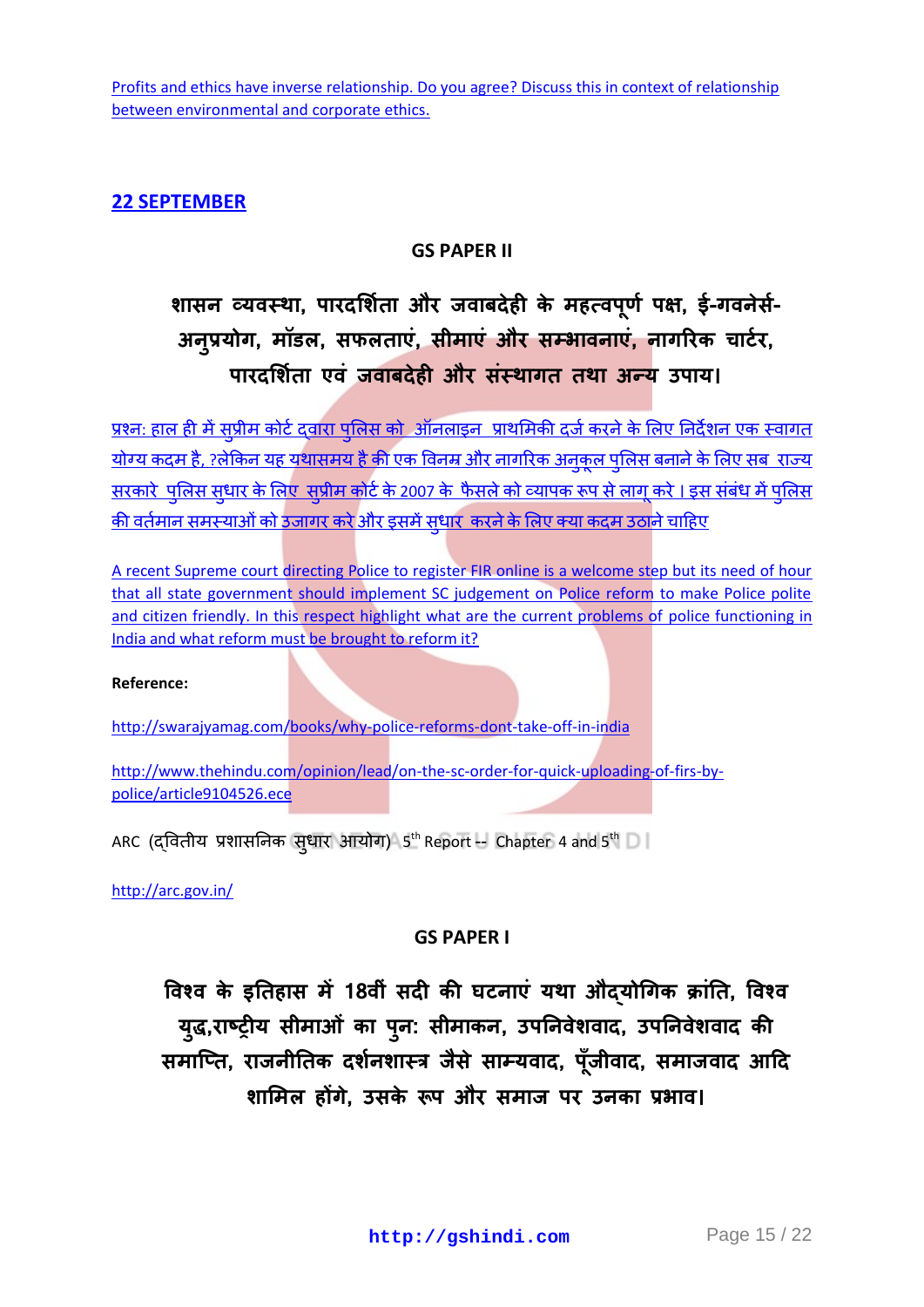## **22 [SEPTEMBER](http://gshindi.com/category/mains-answer-writing/22-september-mains-answer-writing)**

## **GS PAPER II**

# **शासन व्यवस्था, पारदर्शिता और जवाबदेही के महत्वपूर्ण पक्ष, ई-गवनेसे-अन ु प्रमोग, भॉडर, सपरताएॊ, सीभाएॊ औय सम्बािनाएॊ, नागरयक चाटाय,**  पारदर्शिता एवं जवाबदेही और संस्थागत तथा अन्य उपाय।

<u>प्रश्नः हाल ही में सुप्रीम कोर्ट दवारा पुलिस को ऑनलाइन प्राथमिकी दर्ज करने के लिए निर्देशन एक स्वागत</u> <u>योग्य कदम है, ?लेकिन यह यथासमय है की एक विनम्र और नागरिक अनकल पलिस बनाने के लिए सब राज्य</u> <u>सरकारे पुलिस सुधार के लिए सुप्रीम कोर्ट के 2007 के फैसले को व्यापक रूप से लागू करे। इस संबंध में पुलिस</u> <u>की वर्तमान समस्याओं को उजागर करे और इसमें सुधार करने के लिए क्या कदम उठाने चाहिए</u>

A recent Supreme court [directing Police to register FIR online is a welcome step but its need of hour](http://gshindi.com/category/gs-paper-2/sc-ruling-to-register-fir-online)  [that all state government should implement SC judgement on Police reform to make Police polite](http://gshindi.com/category/gs-paper-2/sc-ruling-to-register-fir-online)  and citizen friendly. In this respect highlight what are the current problems of police functioning in [India and what reform must be brought to reform it?](http://gshindi.com/category/gs-paper-2/sc-ruling-to-register-fir-online)

#### **Reference:**

<http://swarajyamag.com/books/why-police-reforms-dont-take-off-in-india>

[http://www.thehindu.com/opinion/lead/on-the-sc-order-for-quick-uploading-of-firs-by](http://www.thehindu.com/opinion/lead/on-the-sc-order-for-quick-uploading-of-firs-by-police/article9104526.ece)[police/article9104526.ece](http://www.thehindu.com/opinion/lead/on-the-sc-order-for-quick-uploading-of-firs-by-police/article9104526.ece)

ARC (द्वितीय प्रशासनिक सुधार आयोग) 5 $^{\rm th}$ Report -- Chapter 4 and 5 $^{\rm th}$ 

<http://arc.gov.in/>

## **GS PAPER I**

**विश्ि के इनतहास भें18िीॊ सदी की घटनाएॊ मथा औद्मोधगक िाॊनत, विश्ि म ुद्ध,याष्रीम सीभाओॊ का ऩ ु न: सीभाकन, उऩननिेशिाद, उऩननिेशिाद की सभाक्तत, यार्नीनतक दशानशास्त्र र्ैसे साम्मिाद, ऩॉू र्ीिाद, सभार्िाद आदद शाभभर होंगे, उसके रूऩ औय सभार् ऩय उनका प्रबाि।**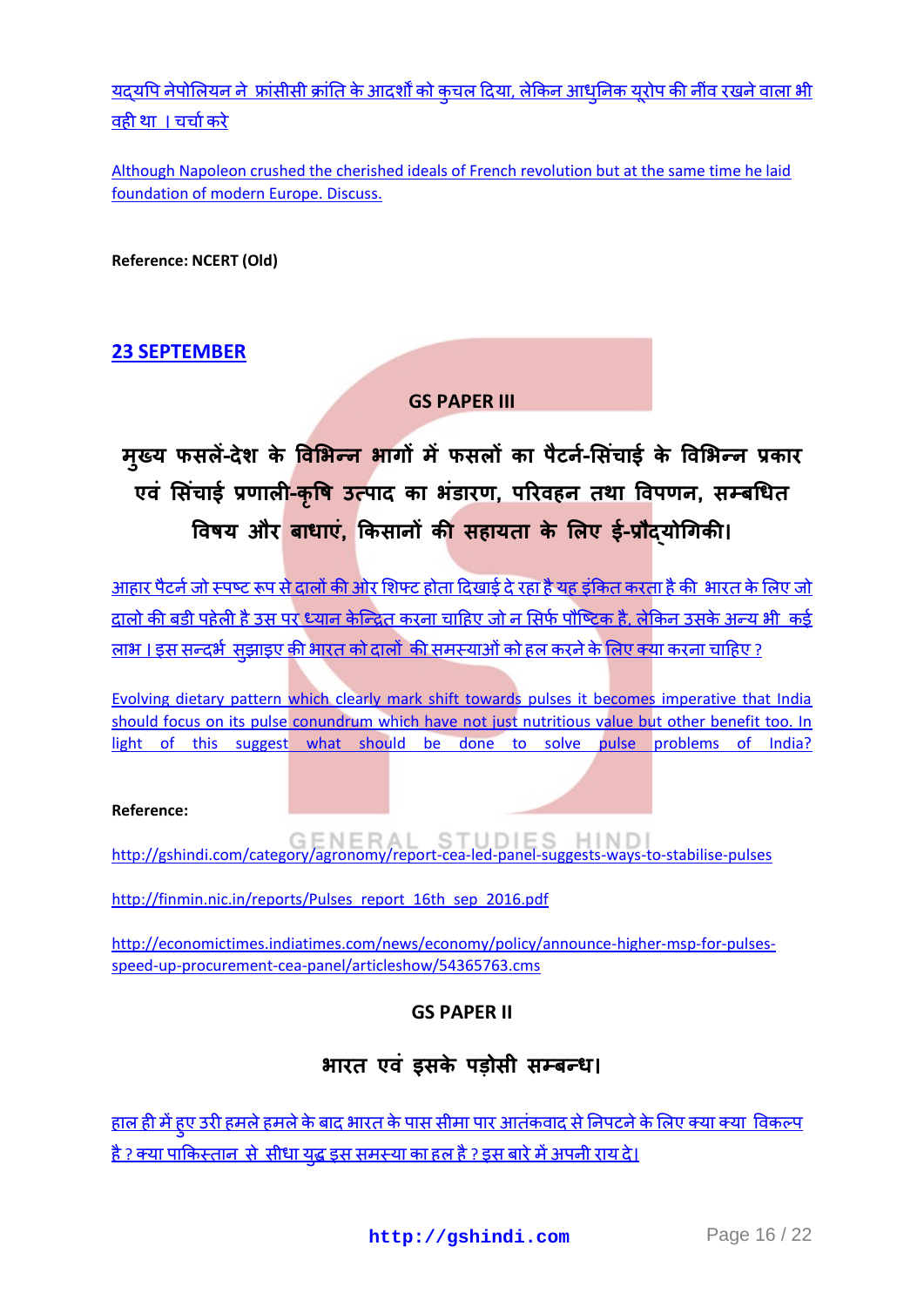<u>यद्यपि नेपोलियन ने फ्रांसीसी क्रांति के आदर्शों को कुचल दिया, लेकिन आधुनिक यूरोप की नींव रखने वाला भी</u> वहीथा । चर्चा करे

[Although Napoleon crushed the cherished ideals of French revolution but at the same time he laid](http://gshindi.com/category/gs-paper-1/napoleon-laid-foundation-of-modern-europe)  [foundation of modern Europe. Discuss.](http://gshindi.com/category/gs-paper-1/napoleon-laid-foundation-of-modern-europe)

**Reference: NCERT (Old)**

## **23 [SEPTEMBER](http://gshindi.com/category/mains-answer-writing/23-september-mains-answer-writing)**

#### **GS PAPER III**

# **भ ु ख्म पसरें-देश के विभबन्न बागों भेंपसरों का ऩैटन-ाभसॊचाइा के विभबन्न प्रकाय एिॊ भसॊचाइा प्रणारी-क ृ वि उत्ऩाद का बॊडायण, ऩरयिहन तथा विऩणन, सम्फधधत वििम औय फाधाएॊ, क्रकसानों की सहामता के भरए इा-प्रौद्मोधगकी।**

आहार पैटर्न जो स्पष्ट रूप से दालों की ओर शिफ्ट होता दिखाई दे रहा है यह इंकित करता है की भारत के लिए जो दालो की बड़ी पहेली है उस पर ध्यान केन्द्रित करना चाहिए जो न सिर्<u>फ पौष्टिक है, लेकिन उसके अन्य भी कई</u> <u>लाभ । इस सन्दर्भ सुझाइए की भारत को दालों की समस्याओं को हल करने के लिए क्या करना चाहिए ?</u>

[Evolving dietary pattern which clearly mark shift towards pulses it becomes imperative that India](http://gshindi.com/category/gs-paper-3/dietary-apttern-shift-towards-pulses)  should focus on its pulse conundrum which have not just nutritious value but other benefit too. In [light of this suggest what should be done to solve pulse problems of India?](http://gshindi.com/category/gs-paper-3/dietary-apttern-shift-towards-pulses)

#### **Reference:**

<http://gshindi.com/category/agronomy/report-cea-led-panel-suggests-ways-to-stabilise-pulses>

[http://finmin.nic.in/reports/Pulses\\_report\\_16th\\_sep\\_2016.pdf](http://finmin.nic.in/reports/Pulses_report_16th_sep_2016.pdf)

[http://economictimes.indiatimes.com/news/economy/policy/announce-higher-msp-for-pulses](http://economictimes.indiatimes.com/news/economy/policy/announce-higher-msp-for-pulses-speed-up-procurement-cea-panel/articleshow/54365763.cms)[speed-up-procurement-cea-panel/articleshow/54365763.cms](http://economictimes.indiatimes.com/news/economy/policy/announce-higher-msp-for-pulses-speed-up-procurement-cea-panel/articleshow/54365763.cms)

## **GS PAPER II**

## **बायत एिॊ इसके ऩड़ोसी सम्फन्ध।**

<u>हाल ही में हए उरी हमले हमले के बाद भारत के पास सीमा पार आतंकवाद से निपटने के लिए क्या क्या विकल्प</u> <u>है ? क्या पाकिस्तान, से सीधा यद्ध इस समस्या का ह[ल](http://gshindi.com/category/gs-paper-2/uri-attack-and-terrorism) है ? इस बारे में अपनी राय दे।</u>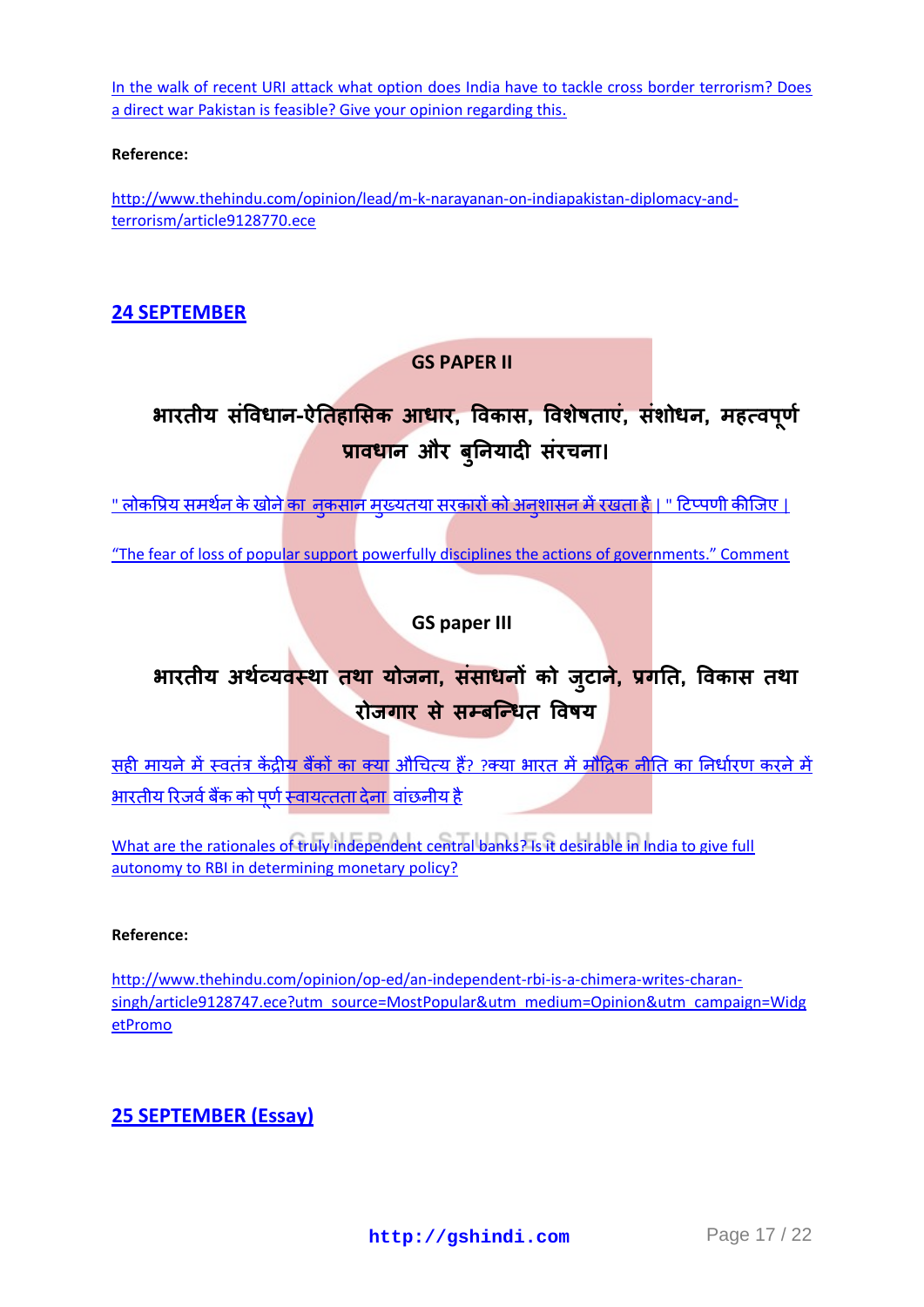[In the walk of recent URI attack what option does India have to tackle cross border terrorism? Does](http://gshindi.com/category/gs-paper-2/uri-attack-and-terrorism)  [a direct war Pakistan is feasible? Give your opinion regarding this.](http://gshindi.com/category/gs-paper-2/uri-attack-and-terrorism)

#### **Reference:**

[http://www.thehindu.com/opinion/lead/m-k-narayanan-on-indiapakistan-diplomacy-and](http://www.thehindu.com/opinion/lead/m-k-narayanan-on-indiapakistan-diplomacy-and-terrorism/article9128770.ece)[terrorism/article9128770.ece](http://www.thehindu.com/opinion/lead/m-k-narayanan-on-indiapakistan-diplomacy-and-terrorism/article9128770.ece)

## **24 [SEPTEMBER](http://gshindi.com/category/mains-answer-writing/24-september-mains-answer-writing)**

## **GS PAPER II**

# **बायतीम सॊविधान-ऐनतहाभसक आधाय, विकास, विशेिताएॊ, सॊशोधन, भहत्िऩ ू णा प्रािधान औय फ ु ननमादी सॊयचना।**

<u>" लोकप्रिय समर्थन के खोने का नकसान मुख्यतया सरकारों को अनुशासन में रखता है [| "](http://gshindi.com/category/gs-paper-2/government-discipline-and-fear-of-loss-of-support) टिप्पणी कीजिए |</u>

["The fear of loss of popular support powerfully disciplines the actions of governments." Comment](http://gshindi.com/category/gs-paper-2/government-discipline-and-fear-of-loss-of-support)

## **GS paper III**

## **बायतीम अथाव्मिस्था तथा मोर्ना, सॊसाधनों को र् ु टान, े प्रगनत, विकास तथा**  रोजगार से सम्बन्धित विषय

सही मायने में स्वतंत्र केंद्रीय बैंकों का क्या औचित्य हैं? ?क्या भारत में मौद्रिक नीति का निर्धारण करने में <u>भारतीय रिजर्व बैंक को पूर्ण स्वायत्तता देना वांछनीय है</u>

[What are the rationales of truly independent central banks? Is it desirable in India to give full](http://gshindi.com/category/gs-paper-3/truely-independent-central-bank)  [autonomy to RBI in determining monetary policy?](http://gshindi.com/category/gs-paper-3/truely-independent-central-bank)

#### **Reference:**

[http://www.thehindu.com/opinion/op-ed/an-independent-rbi-is-a-chimera-writes-charan](http://www.thehindu.com/opinion/op-ed/an-independent-rbi-is-a-chimera-writes-charan-singh/article9128747.ece?utm_source=MostPopular&utm_medium=Opinion&utm_campaign=WidgetPromo)[singh/article9128747.ece?utm\\_source=MostPopular&utm\\_medium=Opinion&utm\\_campaign=Widg](http://www.thehindu.com/opinion/op-ed/an-independent-rbi-is-a-chimera-writes-charan-singh/article9128747.ece?utm_source=MostPopular&utm_medium=Opinion&utm_campaign=WidgetPromo) [etPromo](http://www.thehindu.com/opinion/op-ed/an-independent-rbi-is-a-chimera-writes-charan-singh/article9128747.ece?utm_source=MostPopular&utm_medium=Opinion&utm_campaign=WidgetPromo)

## **25 [SEPTEMBER](http://gshindi.com/category/essay/essay-writing-25-september) (Essay)**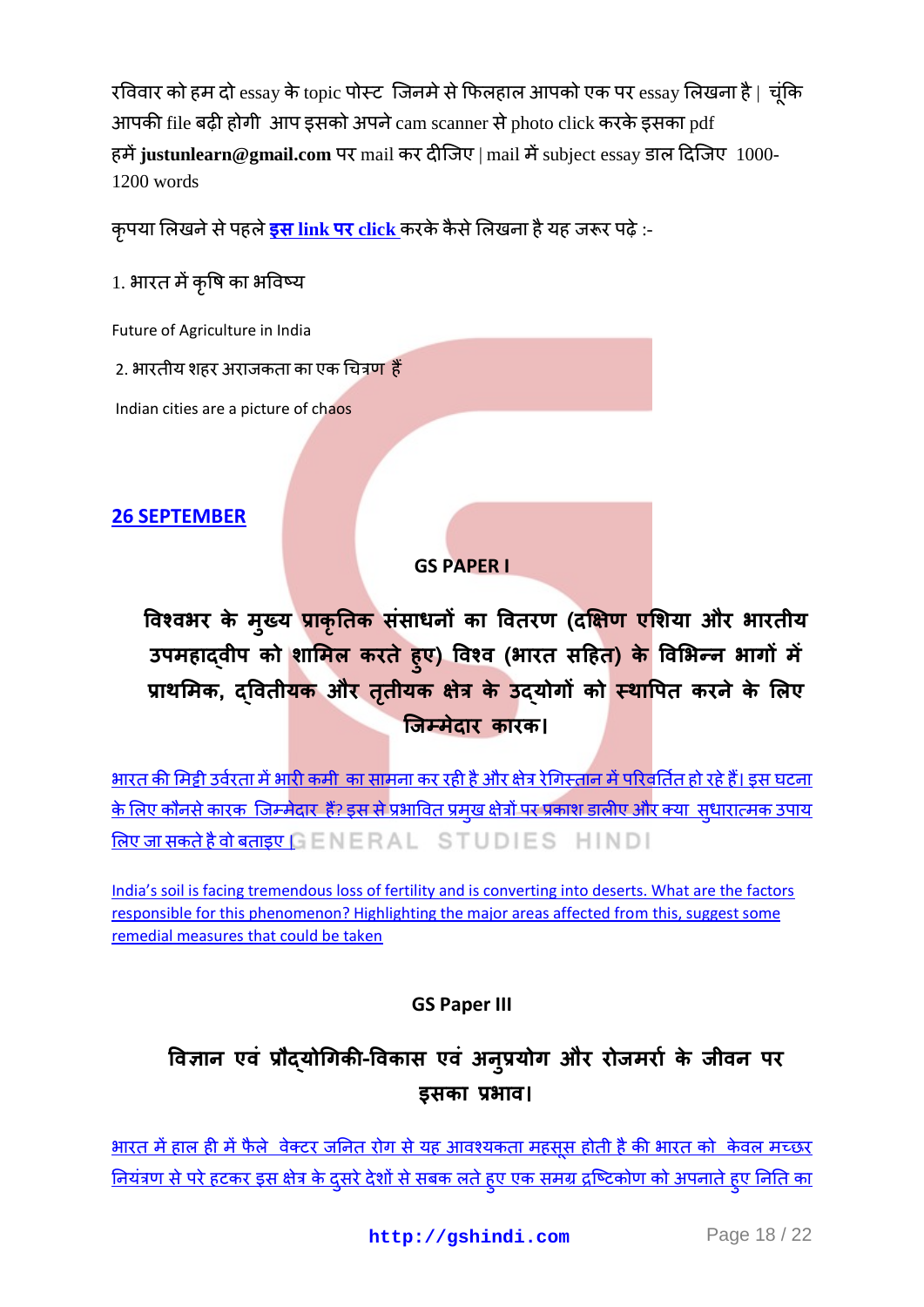रविवार को हम दो essay के topic पोस्ट जिनमे से फिलहाल आपको एक पर essay लिखना है | चूंकि आपकी file बढ़ी होगी आप इसको अपने  $cam$  scanner से photo click करके इसका pdf हमें justunlearn@gmail.com पर mail कर दीजिए | mail में subject essay डाल दिजिए 1000-1200 words

<u>कृ</u>पया लिखने से पहले <mark>इस link पर click</mark> करके कैसे लिखना है यह जरूर पढ़े :-

1. भारत में कृषि का भविष्य

Future of Agriculture in India

2. भारतीय शहर अराजकता का एक चित्र<mark>ण हैं</mark>

Indian cities are a picture of chaos

## **26 [SEPTEMBER](http://gshindi.com/category/mains-answer-writing/26-september-mains-answer-writing)**

## **GS PAPER I**

**विश्िबय के भ ु ख्म प्राक ृ नतक सॊसाधनों का वितयण (दक्षऺण एभशमा औय बायतीम उऩभहाद्िीऩ को शाभभर कयते ह ु ए) विश्ि (बायत सदहत) के विभबन्न बागों भें प्राथभभक, द्वितीमक औय ततृ ीमक ऺत्रे के उद्मोगों को स्थावऩत कयनेके भरए क्र्म्भेदाय कायक।**

<u>भारत की मिट्टी उर्वरता में भारी कमी का सामना कर रही है और क्षेत्र रेगिस्तान में परिवर्तित हो रहे हैं। इस घटना</u> <u>के लिए कौनसे कारक जिम्मेदार हैं? इस से प्रभावित प्रमख क्षेत्रों पर प्रकाश डालीए और क्या सधारात्मक उपाय</u> लिए जा सकते है वो बताइए  $GENERAL$   $STUDIES$   $HINDI$ 

India's soil is facing tremendous loss of fertility and is converting into deserts. What are the factors [responsible for this phenomenon? Highlighting the major areas affected from this, suggest some](http://gshindi.com/category/gs-paper-1/soil-fertility-in-india)  [remedial measures that could be taken](http://gshindi.com/category/gs-paper-1/soil-fertility-in-india)

**GS Paper III**

# **विऻान एिॊ प्रौद्मोधगकी-विकास एिॊ अन ु प्रमोग औय योर्भयाा के र्ीिन ऩय इसका प्रबाि।**

<u>भारत में हाल ही में फैले वेक्टर जनित रोग से यह आवश्यकता महसूस होती है की भारत को केवल मच्छर</u> <u>नियंत्रण से परे हटकर इस क्षेत्र के दुसरे देशों से सबक लते हुए एक समग्र द्रष्टिकोण को अपनाते हुए निति का</u>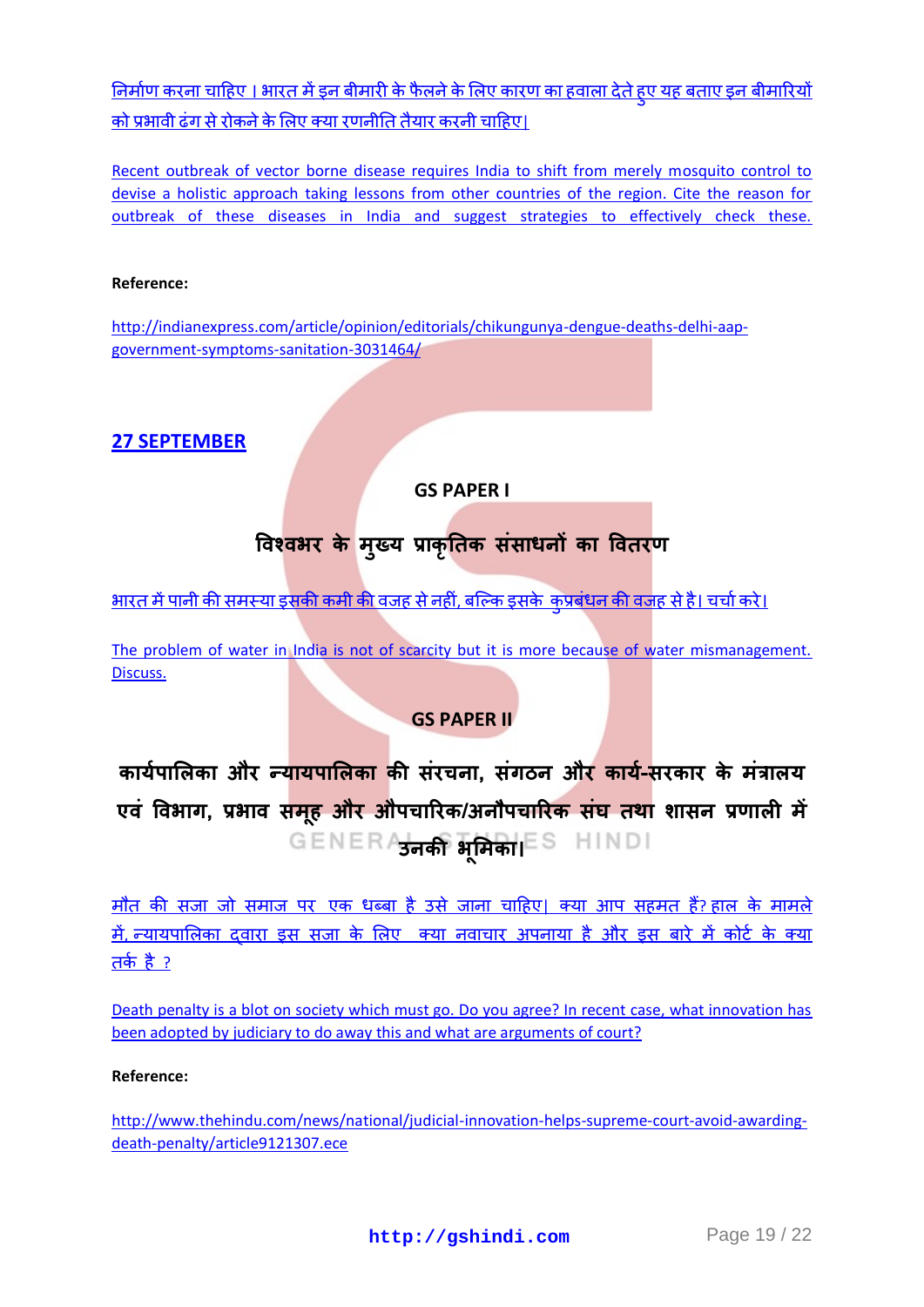<u>निर्माण करना चाहिए । भारत में इन बीमारी के फैलने के लिए कारण का हवाला देते हूए यह बताए इन बीमारियों</u> को प्रभावी ढंग से रोकने के लिए क्या रणनीति तैयार करनी चाहिए।

[Recent outbreak of vector borne disease requires India to shift from merely mosquito control to](http://gshindi.com/category/gs-paper-3/vector-borne-diseases-and-india)  [devise a holistic approach taking lessons from other countries of the region. Cite the reason for](http://gshindi.com/category/gs-paper-3/vector-borne-diseases-and-india)  [outbreak of these diseases in India and suggest strategies to effectively check these.](http://gshindi.com/category/gs-paper-3/vector-borne-diseases-and-india)

#### **Reference:**

[http://indianexpress.com/article/opinion/editorials/chikungunya-dengue-deaths-delhi-aap](http://indianexpress.com/article/opinion/editorials/chikungunya-dengue-deaths-delhi-aap-government-symptoms-sanitation-3031464/)[government-symptoms-sanitation-3031464/](http://indianexpress.com/article/opinion/editorials/chikungunya-dengue-deaths-delhi-aap-government-symptoms-sanitation-3031464/)

## **27 [SEPTEMBER](http://gshindi.com/category/mains-answer-writing/27-september-mains-answer-writing)**

## **GS PAPER I**

## **विश्िबय के भ ु ख्म प्राक ृ नतक सॊसाधनों का वितयण**

<u>भारतमें पानी की समस्या इसकी कमी की वजह से नहीं, बल्कि इसके कुप्रबंधन की वजह से है। चर्चा करे।</u>

The problem of water in India is not of scarcity but it is more because of water mismanagement. [Discuss.](http://gshindi.com/category/gs-paper-1/water-problem-in-india)

## **GS PAPER II**

कार्यपालिका और न्<mark>यायपालिका की</mark> संरचना, संगठन औ<mark>र कार्य-</mark>सरकार के मंत्रालय **एिॊ विबाग, प्रबाि सभ ूह औय औऩचारयक/अनौऩचारयक सॊघ तथा शासन प्रणारी भें उनकी ब ू भभका।**

मौत की सजा जो समाज पर एक धब्बा है उसे जाना चाहिए। क्या आप सहमत हैं? हाल के मामले में, न्यायपालिका दवारा इस सजा के लिए क्या नवाचार अपनाया है और इस बारे में कोर्ट के क्या तके है $?$ 

[Death penalty is a blot on society which must go. Do you agree? In recent case, what innovation has](http://gshindi.com/category/gs-paper-2/effect-of-death-penalty-on-society)  [been adopted by judiciary to do away this and what are arguments of court?](http://gshindi.com/category/gs-paper-2/effect-of-death-penalty-on-society)

#### **Reference:**

[http://www.thehindu.com/news/national/judicial-innovation-helps-supreme-court-avoid-awarding](http://www.thehindu.com/news/national/judicial-innovation-helps-supreme-court-avoid-awarding-death-penalty/article9121307.ece)[death-penalty/article9121307.ece](http://www.thehindu.com/news/national/judicial-innovation-helps-supreme-court-avoid-awarding-death-penalty/article9121307.ece)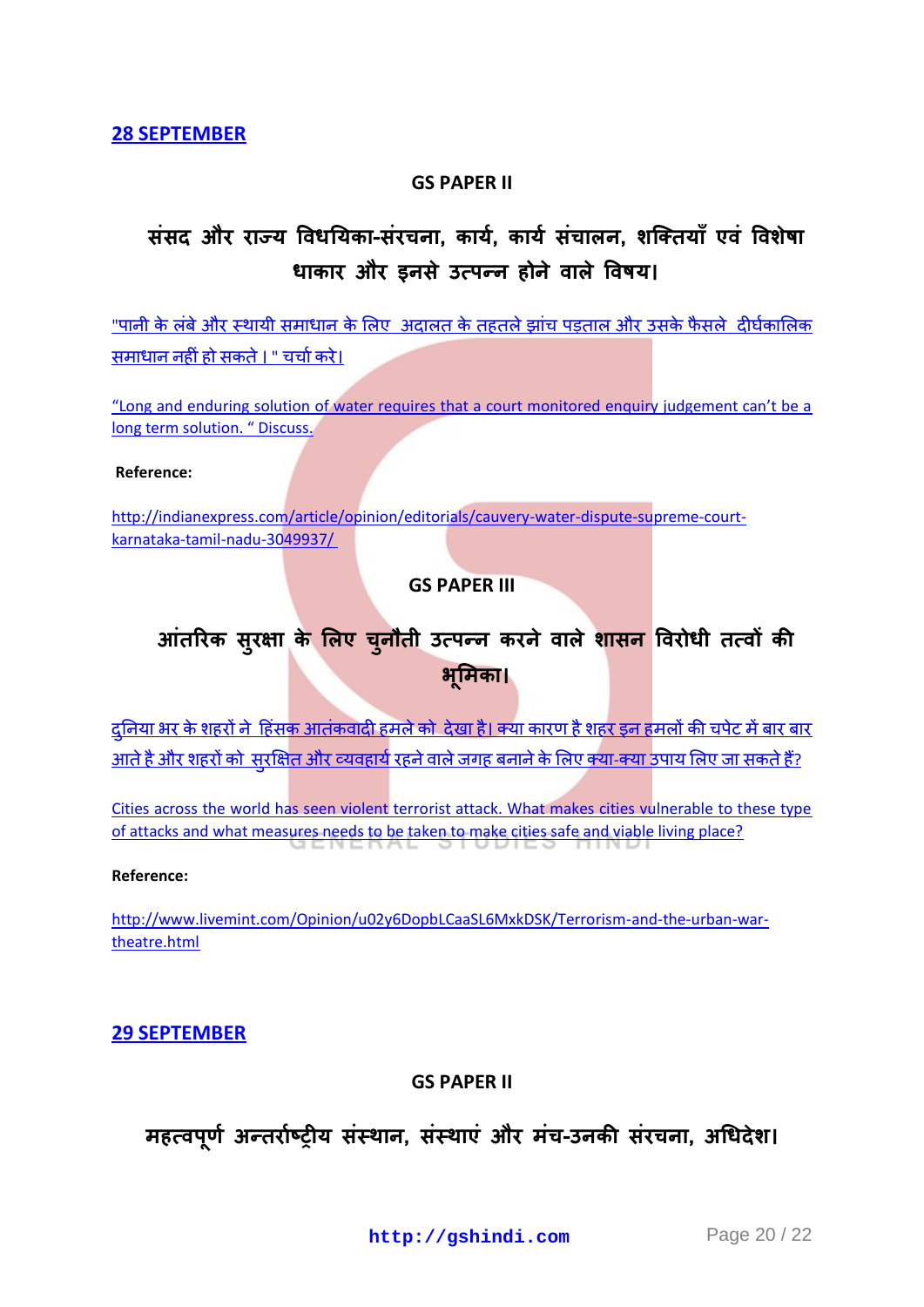#### **GS PAPER II**

## **सॊसद औय याज्म विधनमका-सॊयचना, कामा, कामा सॊचारन, शक्ततमाॉ एिॊ विशेिा** धाकार और इनसे उत्पन्न होने वाले विषय।

"पानी के लंबे और स्थायी समाधान के लिए अदालत के तहतले झांच पड़ताल और उसके फैसले दीर्घकालिक समा<u>धाननहीं हो सकते । " चर्चा करे।</u>

["Long and enduring solution of water requires that a court monitored enquiry judgement can't be a](http://gshindi.com/category/gs-paper-2/solution-to-water-problem)  [long term solution. " Discuss.](http://gshindi.com/category/gs-paper-2/solution-to-water-problem)

#### **Reference:**

[http://indianexpress.com/article/opinion/editorials/cauvery-water-dispute-supreme-court](http://indianexpress.com/article/opinion/editorials/cauvery-water-dispute-supreme-court-karnataka-tamil-nadu-3049937/)[karnataka-tamil-nadu-3049937/](http://indianexpress.com/article/opinion/editorials/cauvery-water-dispute-supreme-court-karnataka-tamil-nadu-3049937/)

#### **GS PAPER III**

# **आतॊ रयक सुयऺा के भरए च ु नौती उत्ऩन्न कयनेिारे शासन वियोधी तत्िों की ब ू भभका।**

<u>दुनिया भर के शहरों ने हिंसक आतंकवादी हमले को देखा है। क्या कारण है शहर इन हमलों की चपेट में बार बार</u> <u>आते है और शहरों को सरक्षित और व्यवहार्य रहने वाले जगह बनाने के लिए क्या-क्या उपाय लिए जा सकते हैं?</u>

[Cities across the world has seen violent terrorist attack. What makes cities vulnerable to these type](http://gshindi.com/category/gs-paper-3/terrorism-and-cities)  [of attacks and what measures needs to be taken to make cities safe and viable living place?](http://gshindi.com/category/gs-paper-3/terrorism-and-cities)

#### **Reference:**

[http://www.livemint.com/Opinion/u02y6DopbLCaaSL6MxkDSK/Terrorism-and-the-urban-war](http://www.livemint.com/Opinion/u02y6DopbLCaaSL6MxkDSK/Terrorism-and-the-urban-war-theatre.html)[theatre.html](http://www.livemint.com/Opinion/u02y6DopbLCaaSL6MxkDSK/Terrorism-and-the-urban-war-theatre.html)

#### **29 [SEPTEMBER](http://gshindi.com/category/mains-answer-writing/29-september-mains-answer-writing)**

#### **GS PAPER II**

## **भहत्िऩ ू णा अन्तयााष्रीम सॊस्थान, सॊस्थाएॊ औय भॊच-उनकी सॊयचना, अधधदेश।**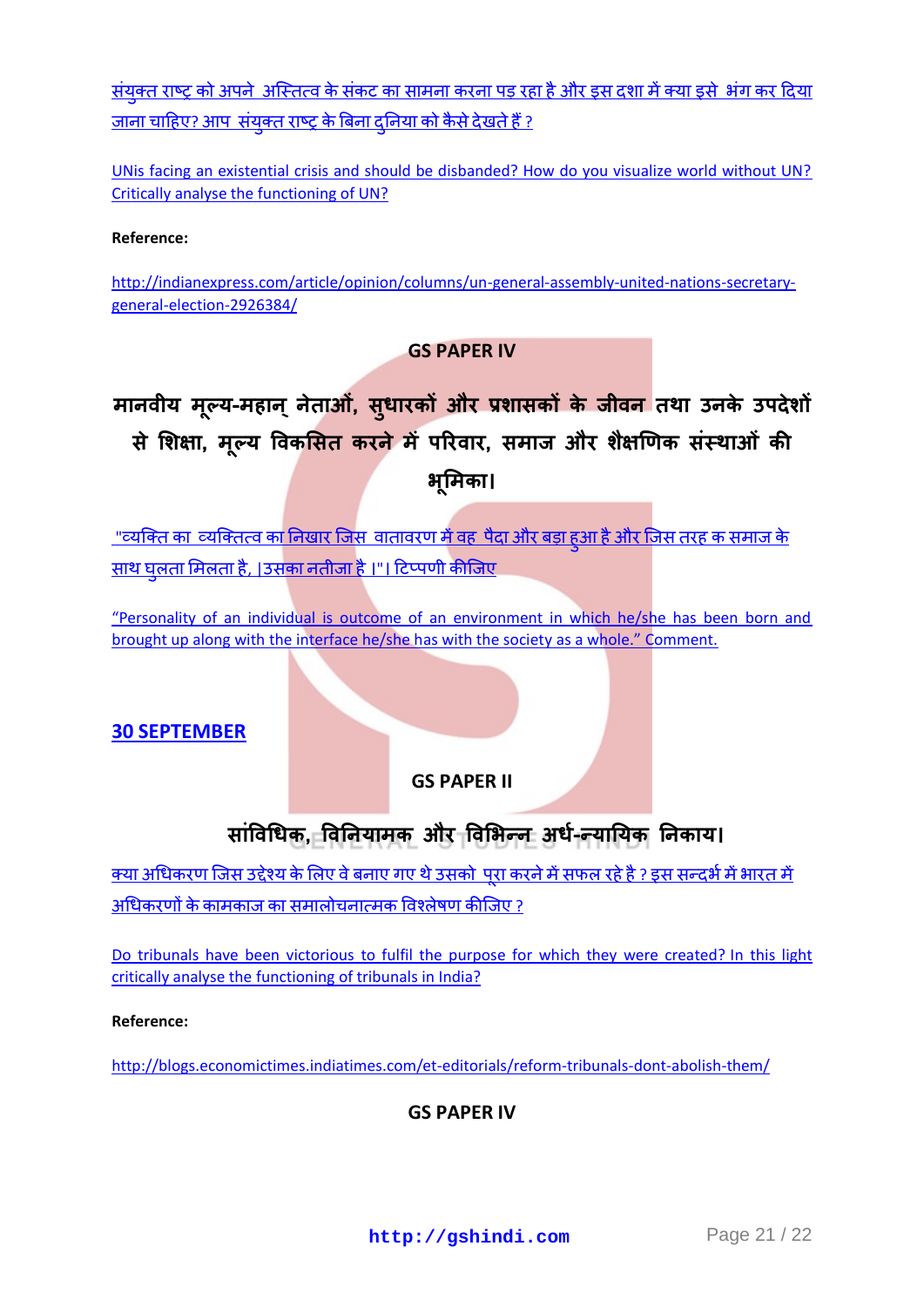<u>संयुक्त राष्ट्र को अपने अस्तित्व के संकट का सामना करना पड़ रहा है और इस दशा में क्या इसे भंग कर दिया</u> <u>जाना चाहिए? आप संयक्त राष्ट्र के बिना दनिया को कैसे देखते हैं ?</u>

[UNis facing an existential crisis and should be disbanded? How do you visualize world without UN?](http://gshindi.com/category/gs-paper-2/un-existential-crisis)  [Critically analyse the functioning of UN?](http://gshindi.com/category/gs-paper-2/un-existential-crisis) 

**Reference:** 

[http://indianexpress.com/article/opinion/columns/un-general-assembly-united-nations-secretary](http://indianexpress.com/article/opinion/columns/un-general-assembly-united-nations-secretary-general-election-2926384/)[general-election-2926384/](http://indianexpress.com/article/opinion/columns/un-general-assembly-united-nations-secretary-general-election-2926384/) 

## **GS PAPER IV**

# **भानिीम भल् ू म-भहान्नेताओ, ॊ सु धायकों औय प्रशासकों के र्ीिन तथा उनके उऩदेशों से भशऺा, भ ू ल्म विकभसत कयने भेंऩरयिाय, सभार् औय शैऺणणक सॊस्थाओॊ की ब ू भभका।**

<u>["](http://gshindi.com/category/gs-paper-4/effect-of-environment-on-individual-personality)व्यक्ति का व्यक्तित्व का निखार जिस वातावरण में वह पैदा और बड़ा हूआ है और जिस तरह क समाज के</u> साथ घलता मिलता है, |उसका नतीजा है ।"। टिप्पणी कीजिए

["Personality of an individual is outcome of an environment in which he/she has been born and](http://gshindi.com/category/gs-paper-4/effect-of-environment-on-individual-personality)  [brought up along with the interface he/she has with the societ](http://gshindi.com/category/gs-paper-4/effect-of-environment-on-individual-personality)y as a whole." Comment.

#### **30 [SEPTEMBER](http://gshindi.com/category/mains-answer-writing/30-september-mains-answer-writing)**

**GS PAPER II**

## **साॊविधधक, विननमाभक औय विभबन्न अधा-न्मानमक ननकाम।**

<u>क्या अधिकरण जिस उद्देश्य के लिए वे बनाए गए थे उसको पुरा करने में सफल रहे है ? इस सन्दर्भ में भारत में </u> अधिकरणों के कामकाज का समालोचनात्मक विश्लेषण कीजिए ?

[Do tribunals have been victorious to fulfil the purpose for which they were created?](http://gshindi.com/category/gs-paper-2/functioning-of-tribunals) In this light [critically analyse the functioning of tribunals in India?](http://gshindi.com/category/gs-paper-2/functioning-of-tribunals)

#### **Reference:**

<http://blogs.economictimes.indiatimes.com/et-editorials/reform-tribunals-dont-abolish-them/>

## **GS PAPER IV**